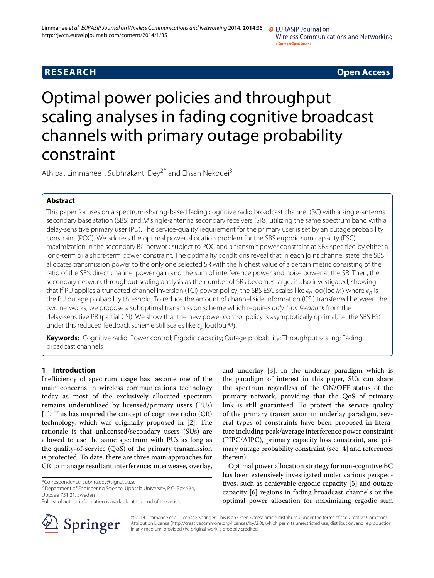**RESEARCH Open Access**

# Optimal power policies and throughput scaling analyses in fading cognitive broadcast channels with primary outage probability constraint

Athipat Limmanee<sup>1</sup>, Subhrakanti Dey<sup>2\*</sup> and Ehsan Nekouei<sup>3</sup>

# **Abstract**

This paper focuses on a spectrum-sharing-based fading cognitive radio broadcast channel (BC) with a single-antenna secondary base station (SBS) and M single-antenna secondary receivers (SRs) utilizing the same spectrum band with a delay-sensitive primary user (PU). The service-quality requirement for the primary user is set by an outage probability constraint (POC). We address the optimal power allocation problem for the SBS ergodic sum capacity (ESC) maximization in the secondary BC network subject to POC and a transmit power constraint at SBS specified by either a long-term or a short-term power constraint. The optimality conditions reveal that in each joint channel state, the SBS allocates transmission power to the only one selected SR with the highest value of a certain metric consisting of the ratio of the SR's direct channel power gain and the sum of interference power and noise power at the SR. Then, the secondary network throughput scaling analysis as the number of SRs becomes large, is also investigated, showing that if PU applies a truncated channel inversion (TCI) power policy, the SBS ESC scales like  $\epsilon_p$  log(log M) where  $\epsilon_p$  is the PU outage probability threshold. To reduce the amount of channel side information (CSI) transferred between the two networks, we propose a suboptimal transmission scheme which requires only 1-bit feedback from the delay-sensitive PR (partial CSI). We show that the new power control policy is asymptotically optimal, i.e. the SBS ESC under this reduced feedback scheme still scales like  $\epsilon_p$  log(log M).

**Keywords:** Cognitive radio; Power control; Ergodic capacity; Outage probability; Throughput scaling; Fading broadcast channels

# **1 Introduction**

Inefficiency of spectrum usage has become one of the main concerns in wireless communications technology today as most of the exclusively allocated spectrum remains underutilized by licensed/primary users (PUs) [\[1\]](#page-17-0). This has inspired the concept of cognitive radio (CR) technology, which was originally proposed in [\[2\]](#page-17-1). The rationale is that unlicensed/secondary users (SUs) are allowed to use the same spectrum with PUs as long as the quality-of-service (QoS) of the primary transmission is protected. To date, there are three main approaches for CR to manage resultant interference: interweave, overlay,

2Department of Engineering Science, Uppsala University, P.O. Box 534, Uppsala 751 21, Sweden



Optimal power allocation strategy for non-cognitive BC has been extensively investigated under various perspectives, such as achievable ergodic capacity [\[5\]](#page-17-4) and outage capacity [\[6\]](#page-17-5) regions in fading broadcast channels or the optimal power allocation for maximizing ergodic sum



© 2014 Limmanee et al.; licensee Springer. This is an Open Access article distributed under the terms of the Creative Commons Attribution License (http://creativecommons.org/licenses/by/2.0), which permits unrestricted use, distribution, and reproduction in any medium, provided the original work is properly credited.

<sup>\*</sup>Correspondence: subhra.dey@signal.uu.se

Full list of author information is available at the end of the article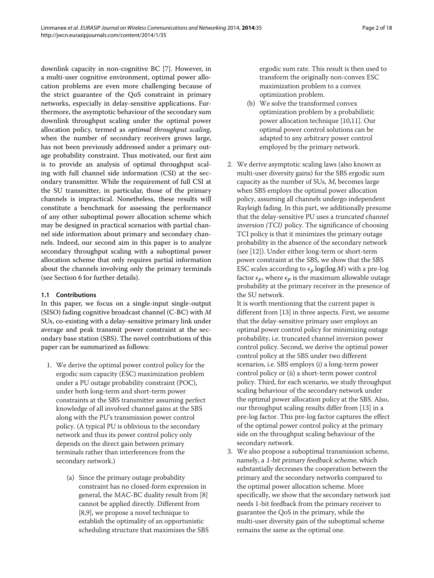downlink capacity in non-cognitive BC [\[7\]](#page-17-6). However, in a multi-user cognitive environment, optimal power allocation problems are even more challenging because of the strict guarantee of the QoS constraint in primary networks, especially in delay-sensitive applications. Furthermore, the asymptotic behaviour of the secondary sum downlink throughput scaling under the optimal power allocation policy, termed as *optimal throughput scaling*, when the number of secondary receivers grows large, has not been previously addressed under a primary outage probability constraint. Thus motivated, our first aim is to provide an analysis of optimal throughput scaling with full channel side information (CSI) at the secondary transmitter. While the requirement of full CSI at the SU transmitter, in particular, those of the primary channels is impractical. Nonetheless, these results will constitute a benchmark for assessing the performance of any other suboptimal power allocation scheme which may be designed in practical scenarios with partial channel side information about primary and secondary channels. Indeed, our second aim in this paper is to analyze secondary throughput scaling with a suboptimal power allocation scheme that only requires partial information about the channels involving only the primary terminals (see Section [6](#page-7-0) for further details).

# **1.1 Contributions**

In this paper, we focus on a single-input single-output (SISO) fading cognitive broadcast channel (C-BC) with *M* SUs, co-existing with a delay-sensitive primary link under average and peak transmit power constraint at the secondary base station (SBS). The novel contributions of this paper can be summarized as follows:

- 1. We derive the optimal power control policy for the ergodic sum capacity (ESC) maximization problem under a PU outage probability constraint (POC), under both long-term and short-term power constraints at the SBS transmitter assuming perfect knowledge of all involved channel gains at the SBS along with the PU's transmission power control policy. (A typical PU is oblivious to the secondary network and thus its power control policy only depends on the direct gain between primary terminals rather than interferences from the secondary network.)
	- (a) Since the primary outage probability constraint has no closed-form expression in general, the MAC-BC duality result from [\[8\]](#page-17-7) cannot be applied directly. Different from [\[8](#page-17-7)[,9\]](#page-17-8), we propose a novel technique to establish the optimality of an opportunistic scheduling structure that maximizes the SBS

ergodic sum rate. This result is then used to transform the originally non-convex ESC maximization problem to a convex optimization problem.

- (b) We solve the transformed convex optimization problem by a probabilistic power allocation technique [\[10,](#page-17-9)[11\]](#page-17-10). Our optimal power control solutions can be adapted to any arbitrary power control employed by the primary network.
- 2. We derive asymptotic scaling laws (also known as multi-user diversity gains) for the SBS ergodic sum capacity as the number of SUs, <sup>M</sup>, becomes large when SBS employs the optimal power allocation policy, assuming all channels undergo independent Rayleigh fading. In this part, we additionally presume that the delay-sensitive PU uses a truncated channel inversion (TCI) policy. The significance of choosing TCI policy is that it minimizes the primary outage probability in the absence of the secondary network (see [\[12\]](#page-17-11)). Under either long-term or short-term power constraint at the SBS, we show that the SBS ESC scales according to  $\epsilon_p \log(\log M)$  with a pre-log factor  $\epsilon_p$ , where  $\epsilon_p$  is the maximum allowable outage probability at the primary receiver in the presence of the SU network.

It is worth mentioning that the current paper is different from [\[13\]](#page-17-12) in three aspects. First, we assume that the delay-sensitive primary user employs an optimal power control policy for minimizing outage probability, i.e. truncated channel inversion power control policy. Second, we derive the optimal power control policy at the SBS under two different scenarios, i.e. SBS employs (i) a long-term power control policy or (ii) a short-term power control policy. Third, for each scenario, we study throughput scaling behaviour of the secondary network under the optimal power allocation policy at the SBS. Also, our throughput scaling results differ from [\[13\]](#page-17-12) in a pre-log factor. This pre-log factor captures the effect of the optimal power control policy at the primary side on the throughput scaling behaviour of the secondary network.

3. We also propose a suboptimal transmission scheme, namely, a 1-bit primary feedback scheme, which substantially decreases the cooperation between the primary and the secondary networks compared to the optimal power allocation scheme. More specifically, we show that the secondary network just needs 1-bit feedback from the primary receiver to guarantee the QoS in the primary, while the multi-user diversity gain of the suboptimal scheme remains the same as the optimal one.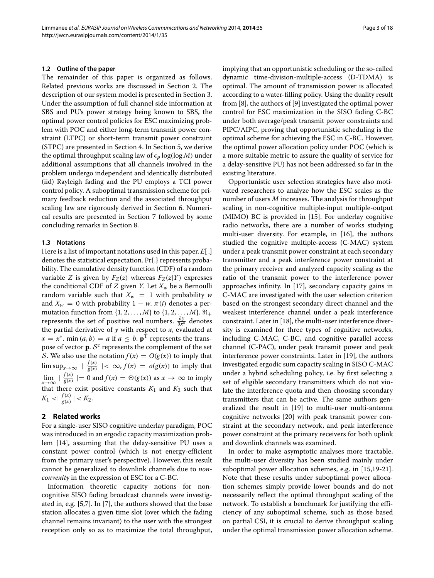#### **1.2 Outline of the paper**

The remainder of this paper is organized as follows. Related previous works are discussed in Section [2.](#page-2-0) The description of our system model is presented in Section [3.](#page-3-0) Under the assumption of full channel side information at SBS and PU's power strategy being known to SBS, the optimal power control policies for ESC maximizing problem with POC and either long-term transmit power constraint (LTPC) or short-term transmit power constraint (STPC) are presented in Section [4.](#page-4-0) In Section [5,](#page-6-0) we derive the optimal throughput scaling law of  $\epsilon_p \log(\log M)$  under additional assumptions that all channels involved in the problem undergo independent and identically distributed (iid) Rayleigh fading and the PU employs a TCI power control policy. A suboptimal transmission scheme for primary feedback reduction and the associated throughput scaling law are rigorously derived in Section [6.](#page-7-0) Numerical results are presented in Section [7](#page-8-0) followed by some concluding remarks in Section [8.](#page-10-0)

#### **1.3 Notations**

Here is a list of important notations used in this paper. *E*[ .] denotes the statistical expectation. Pr{.} represents probability. The cumulative density function (CDF) of a random variable *Z* is given by  $F_Z(z)$  whereas  $F_Z(z|Y)$  expresses the conditional CDF of  $Z$  given  $Y$ . Let  $X_w$  be a Bernoulli random variable such that  $X_w = 1$  with probability w and  $X_w = 0$  with probability  $1 - w$ .  $\pi(i)$  denotes a permutation function from  $\{1, 2, ..., M\}$  to  $\{1, 2, ..., M\}$ .  $\mathfrak{R}_+$ represents the set of positive real numbers.  $\frac{\partial y}{\partial x^*}$  denotes the partial derivative of  $y$  with respect to  $x$ , evaluated at  $x = x^*$ . min  $(a, b) = a$  if  $a \leq b$ . **p**<sup>T</sup> represents the transpose of vector  $\mathbf{p}$ .  $\mathcal{S}^c$  represents the complement of the set S. We also use the notation  $f(x) = O(g(x))$  to imply that  $\limsup_{x\to\infty}$  |  $\frac{f(x)}{g(x)}$  |< ∞,  $f(x) = o(g(x))$  to imply that  $\lim_{x \to \infty} \left| \frac{f(x)}{g(x)} \right| = 0$  and  $f(x) = \Theta(g(x))$  as  $x \to \infty$  to imply that there exist positive constants  $K_1$  and  $K_2$  such that  $K_1$  <  $\mid \frac{f(x)}{g(x)} \mid < K_2$ .

#### <span id="page-2-0"></span>**2 Related works**

For a single-user SISO cognitive underlay paradigm, POC was introduced in an ergodic capacity maximization problem [\[14\]](#page-17-13), assuming that the delay-sensitive PU uses a constant power control (which is not energy-efficient from the primary user's perspective). However, this result cannot be generalized to downlink channels due to *nonconvexity* in the expression of ESC for a C-BC.

Information theoretic capacity notions for noncognitive SISO fading broadcast channels were investigated in, e.g. [\[5,](#page-17-4)[7\]](#page-17-6). In [\[7\]](#page-17-6), the authors showed that the base station allocates a given time slot (over which the fading channel remains invariant) to the user with the strongest reception only so as to maximize the total throughput, implying that an opportunistic scheduling or the so-called dynamic time-division-multiple-access (D-TDMA) is optimal. The amount of transmission power is allocated according to a water-filling policy. Using the duality result from [\[8\]](#page-17-7), the authors of [\[9\]](#page-17-8) investigated the optimal power control for ESC maximization in the SISO fading C-BC under both average/peak transmit power constraints and PIPC/AIPC, proving that opportunistic scheduling is the optimal scheme for achieving the ESC in C-BC. However, the optimal power allocation policy under POC (which is a more suitable metric to assure the quality of service for a delay-sensitive PU) has not been addressed so far in the existing literature.

Opportunistic user selection strategies have also motivated researchers to analyze how the ESC scales as the number of users *M* increases. The analysis for throughput scaling in non-cognitive multiple-input multiple-output (MIMO) BC is provided in [\[15\]](#page-17-14). For underlay cognitive radio networks, there are a number of works studying multi-user diversity. For example, in [\[16\]](#page-17-15), the authors studied the cognitive multiple-access (C-MAC) system under a peak transmit power constraint at each secondary transmitter and a peak interference power constraint at the primary receiver and analyzed capacity scaling as the ratio of the transmit power to the interference power approaches infinity. In [\[17\]](#page-17-16), secondary capacity gains in C-MAC are investigated with the user selection criterion based on the strongest secondary direct channel and the weakest interference channel under a peak interference constraint. Later in [\[18\]](#page-17-17), the multi-user interference diversity is examined for three types of cognitive networks, including C-MAC, C-BC, and cognitive parallel access channel (C-PAC), under peak transmit power and peak interference power constraints. Later in [\[19\]](#page-17-18), the authors investigated ergodic sum capacity scaling in SISO C-MAC under a hybrid scheduling policy, i.e. by first selecting a set of eligible secondary transmitters which do not violate the interference quota and then choosing secondary transmitters that can be active. The same authors generalized the result in [\[19\]](#page-17-18) to multi-user multi-antenna cognitive networks [\[20\]](#page-17-19) with peak transmit power constraint at the secondary network, and peak interference power constraint at the primary receivers for both uplink and downlink channels was examined.

In order to make asymptotic analyses more tractable, the multi-user diversity has been studied mainly under suboptimal power allocation schemes, e.g. in [\[15,](#page-17-14)[19](#page-17-18)[-21\]](#page-17-20). Note that these results under suboptimal power allocation schemes simply provide lower bounds and do not necessarily reflect the optimal throughput scaling of the network. To establish a benchmark for justifying the efficiency of any suboptimal scheme, such as those based on partial CSI, it is crucial to derive throughput scaling under the optimal transmission power allocation scheme.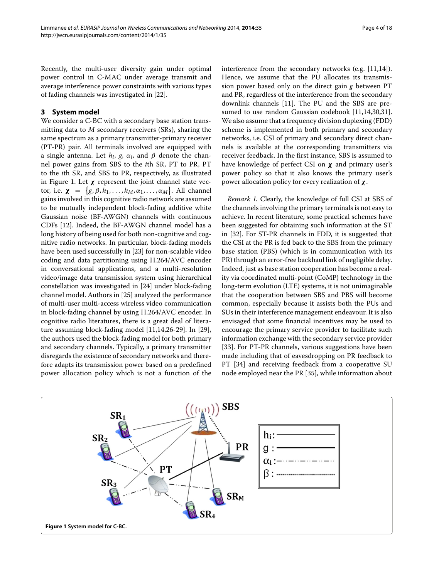Recently, the multi-user diversity gain under optimal power control in C-MAC under average transmit and average interference power constraints with various types of fading channels was investigated in [\[22\]](#page-17-21).

# <span id="page-3-0"></span>**3 System model**

We consider a C-BC with a secondary base station transmitting data to *M* secondary receivers (SRs), sharing the same spectrum as a primary transmitter-primary receiver (PT-PR) pair. All terminals involved are equipped with a single antenna. Let  $h_i$ , *g*,  $\alpha_i$ , and *β* denote the channel power gains from SBS to the *i*th SR, PT to PR, PT to the *i*th SR, and SBS to PR, respectively, as illustrated in Figure [1.](#page-3-1) Let *χ* represent the joint channel state vector, i.e.  $\boldsymbol{\chi} = \{g, \beta, h_1, \ldots, h_M, \alpha_1, \ldots, \alpha_M\}$ . All channel gains involved in this cognitive radio network are assumed to be mutually independent block-fading additive white Gaussian noise (BF-AWGN) channels with continuous CDFs [\[12\]](#page-17-11). Indeed, the BF-AWGN channel model has a long history of being used for both non-cognitive and cognitive radio networks. In particular, block-fading models have been used successfully in [\[23\]](#page-17-22) for non-scalable video coding and data partitioning using H.264/AVC encoder in conversational applications, and a multi-resolution video/image data transmission system using hierarchical constellation was investigated in [\[24\]](#page-17-23) under block-fading channel model. Authors in [\[25\]](#page-17-24) analyzed the performance of multi-user multi-access wireless video communication in block-fading channel by using H.264/AVC encoder. In cognitive radio literatures, there is a great deal of literature assuming block-fading model [\[11,](#page-17-10)[14,](#page-17-13)[26-](#page-17-25)[29\]](#page-17-26). In [\[29\]](#page-17-26), the authors used the block-fading model for both primary and secondary channels. Typically, a primary transmitter disregards the existence of secondary networks and therefore adapts its transmission power based on a predefined power allocation policy which is not a function of the interference from the secondary networks (e.g. [\[11](#page-17-10)[,14\]](#page-17-13)). Hence, we assume that the PU allocates its transmission power based only on the direct gain *g* between PT and PR, regardless of the interference from the secondary downlink channels [\[11\]](#page-17-10). The PU and the SBS are presumed to use random Gaussian codebook [\[11,](#page-17-10)[14,](#page-17-13)[30,](#page-17-27)[31\]](#page-17-28). We also assume that a frequency division duplexing (FDD) scheme is implemented in both primary and secondary networks, i.e. CSI of primary and secondary direct channels is available at the corresponding transmitters via receiver feedback. In the first instance, SBS is assumed to have knowledge of perfect CSI on *χ* and primary user's power policy so that it also knows the primary user's power allocation policy for every realization of *χ*.

*Remark 1.* Clearly, the knowledge of full CSI at SBS of the channels involving the primary terminals is not easy to achieve. In recent literature, some practical schemes have been suggested for obtaining such information at the ST in [\[32\]](#page-17-29). For ST-PR channels in FDD, it is suggested that the CSI at the PR is fed back to the SBS from the primary base station (PBS) (which is in communication with its PR) through an error-free backhaul link of negligible delay. Indeed, just as base station cooperation has become a reality via coordinated multi-point (CoMP) technology in the long-term evolution (LTE) systems, it is not unimaginable that the cooperation between SBS and PBS will become common, especially because it assists both the PUs and SUs in their interference management endeavour. It is also envisaged that some financial incentives may be used to encourage the primary service provider to facilitate such information exchange with the secondary service provider [\[33\]](#page-17-30). For PT-PR channels, various suggestions have been made including that of eavesdropping on PR feedback to PT [\[34\]](#page-17-31) and receiving feedback from a cooperative SU node employed near the PR [\[35\]](#page-17-32), while information about

<span id="page-3-1"></span>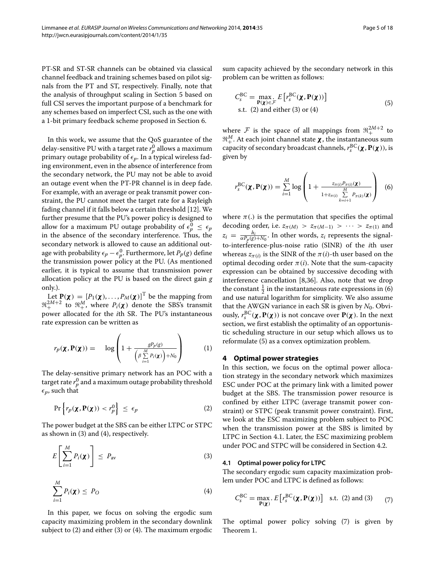PT-SR and ST-SR channels can be obtained via classical channel feedback and training schemes based on pilot signals from the PT and ST, respectively. Finally, note that the analysis of throughput scaling in Section [5](#page-6-0) based on full CSI serves the important purpose of a benchmark for any schemes based on imperfect CSI, such as the one with a 1-bit primary feedback scheme proposed in Section [6.](#page-7-0)

In this work, we assume that the QoS guarantee of the delay-sensitive PU with a target rate  $r_p^0$  allows a maximum primary outage probability of  $\epsilon_p$ . In a typical wireless fading environment, even in the absence of interference from the secondary network, the PU may not be able to avoid an outage event when the PT-PR channel is in deep fade. For example, with an average or peak transmit power constraint, the PU cannot meet the target rate for a Rayleigh fading channel if it falls below a certain threshold [\[12\]](#page-17-11). We further presume that the PU's power policy is designed to allow for a maximum PU outage probability of  $\epsilon_p^0 \leq \epsilon_p$ in the absence of the secondary interference. Thus, the secondary network is allowed to cause an additional outage with probability  $\epsilon_p - \epsilon_p^0$ . Furthermore, let  $P_p(g)$  define the transmission power policy at the PU. (As mentioned earlier, it is typical to assume that transmission power allocation policy at the PU is based on the direct gain *g* only.).

Let  $P(\chi) = [P_1(\chi), \ldots, P_M(\chi)]^T$  be the mapping from  $\mathfrak{R}^{2M+2}_+$  to  $\mathfrak{R}^M_+$ , where  $P_i(\chi)$  denote the SBS's transmit power allocated for the *i*th SR. The PU's instantaneous rate expression can be written as

$$
r_p(\mathbf{\chi}, \mathbf{P}(\mathbf{\chi})) = \log \left( 1 + \frac{g p_p(g)}{\left( \beta \sum_{i=1}^M p_i(\mathbf{\chi}) \right) + N_0} \right) \tag{1}
$$

The delay-sensitive primary network has an POC with a target rate  $r_p^0$  and a maximum outage probability threshold  $\epsilon_p$ , such that

<span id="page-4-3"></span>
$$
\Pr\left\{r_p(\pmb{\chi}, \mathbf{P}(\pmb{\chi})) < r_p^0\right\} \le \epsilon_p \tag{2}
$$

The power budget at the SBS can be either LTPC or STPC as shown in [\(3\)](#page-4-1) and [\(4\)](#page-4-2), respectively.

$$
E\left[\sum_{i=1}^{M} P_i(\boldsymbol{\chi})\right] \leq P_{\text{av}} \tag{3}
$$

<span id="page-4-2"></span>
$$
\sum_{i=1}^{M} P_i(\boldsymbol{\chi}) \le P_O \tag{4}
$$

In this paper, we focus on solving the ergodic sum capacity maximizing problem in the secondary downlink subject to [\(2\)](#page-4-3) and either [\(3\)](#page-4-1) or [\(4\)](#page-4-2). The maximum ergodic sum capacity achieved by the secondary network in this problem can be written as follows:

<span id="page-4-5"></span>
$$
C_{s}^{BC} = \max_{\mathbf{P}(\mathbf{\chi}) \in \mathcal{F}} E\left[r_{s}^{BC}(\mathbf{\chi}, \mathbf{P}(\mathbf{\chi}))\right]
$$
  
s.t. (2) and either (3) or (4) (5)

where  $\mathcal F$  is the space of all mappings from  $\mathfrak{R}^{2M+2}_+$  to  $\mathfrak{R}^M_+$ . At each joint channel state *χ*, the instantaneous sum capacity of secondary broadcast channels, *r*BC *<sup>s</sup> (χ*, **P***(χ ))*, is given by

<span id="page-4-4"></span>
$$
r_s^{\text{BC}}(\boldsymbol{\chi}, \mathbf{P}(\boldsymbol{\chi})) = \sum_{i=1}^M \log \left( 1 + \frac{z_{\pi(i)} P_{\pi(i)}(\boldsymbol{\chi})}{1 + z_{\pi(i)} \sum_{k=i+1}^M P_{\pi(k)}(\boldsymbol{\chi})} \right) \tag{6}
$$

where  $\pi(.)$  is the permutation that specifies the optimal decoding order, i.e.  $z_{\pi(M)} > z_{\pi(M-1)} > \cdots > z_{\pi(1)}$  and  $z_i = \frac{h_i}{\alpha P_p(g) + N_0}$ . In other words,  $z_i$  represents the signalto-interference-plus-noise ratio (SINR) of the *i*th user whereas  $z_{\pi(i)}$  is the SINR of the  $\pi(i)$ -th user based on the optimal decoding order  $\pi(i)$ . Note that the sum-capacity expression can be obtained by successive decoding with interference cancellation [\[8](#page-17-7)[,36\]](#page-17-33). Also, note that we drop the constant  $\frac{1}{2}$  in the instantaneous rate expressions in [\(6\)](#page-4-4) and use natural logarithm for simplicity. We also assume that the AWGN variance in each SR is given by  $N_0$ . Obviously,  $r_s^{\text{BC}}(\chi, \mathbf{P}(\chi))$  is not concave over  $\mathbf{P}(\chi)$ . In the next section, we first establish the optimality of an opportunistic scheduling structure in our setup which allows us to reformulate [\(5\)](#page-4-5) as a convex optimization problem.

#### <span id="page-4-0"></span>**4 Optimal power strategies**

In this section, we focus on the optimal power allocation strategy in the secondary network which maximizes ESC under POC at the primary link with a limited power budget at the SBS. The transmission power resource is confined by either LTPC (average transmit power constraint) or STPC (peak transmit power constraint). First, we look at the ESC maximizing problem subject to POC when the transmission power at the SBS is limited by LTPC in Section [4.1.](#page-4-6) Later, the ESC maximizing problem under POC and STPC will be considered in Section [4.2.](#page-5-0)

#### <span id="page-4-6"></span><span id="page-4-1"></span>**4.1 Optimal power policy for LTPC**

The secondary ergodic sum capacity maximization problem under POC and LTPC is defined as follows:

<span id="page-4-7"></span>
$$
C_s^{BC} = \max_{\mathbf{P}(\boldsymbol{\chi})} E\left[r_s^{BC}(\boldsymbol{\chi}, \mathbf{P}(\boldsymbol{\chi}))\right] \text{ s.t. (2) and (3)} \tag{7}
$$

The optimal power policy solving [\(7\)](#page-4-7) is given by Theorem [1.](#page-5-1)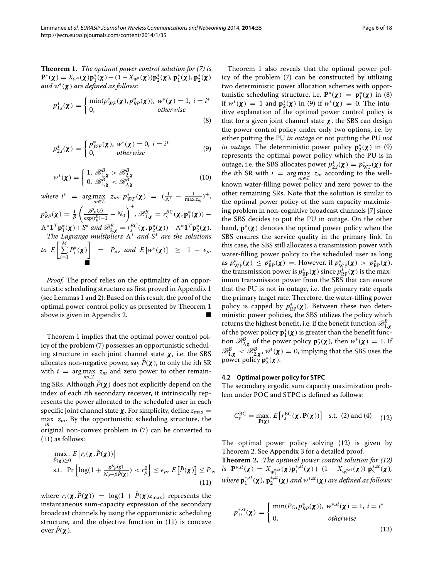<span id="page-5-1"></span>
$$
p_{1,i}^*(\boldsymbol{\chi}) = \begin{cases} \min(p_{\mathit{WF}}^*(\boldsymbol{\chi}), p_{\mathit{RP}}^*(\boldsymbol{\chi})), \; w^*(\boldsymbol{\chi}) = 1, \; i = i^*\\ 0, & \text{otherwise} \end{cases} \tag{8}
$$

<span id="page-5-4"></span>
$$
p_{2,i}^{*}(\mathbf{\chi}) = \begin{cases} p_{\mathit{WF}}^{*}(\mathbf{\chi}), \; w^{*}(\mathbf{\chi}) = 0, \; i = i^{*} \\ 0, \quad \text{otherwise} \end{cases} \tag{9}
$$

$$
w^*(\boldsymbol{\chi}) = \begin{cases} 1, & \mathcal{B}_{1,\boldsymbol{\chi}}^B > \mathcal{B}_{2,\boldsymbol{\chi}}^B \\ 0, & \mathcal{B}_{1,\boldsymbol{\chi}}^B < \mathcal{B}_{2,\boldsymbol{\chi}}^B \end{cases}
$$
(10)

*where*  $i^*$  =  $\arg \max_{m \in \mathcal{I}} z_m$ ,  $p^*_{WF}(\mathbf{\chi}) = (\frac{1}{\Lambda^*} - \frac{1}{\max z_m})^+,$  $p_{RP}^*(\boldsymbol{\chi}) = \frac{1}{\beta}$  $\int$ *gP<sub>p</sub>*(*g*)  $\frac{gP_p(g)}{\exp(r_p^0)-1} - N_0 \bigg)^+$ ,  $\mathscr{B}_{1,\chi}^B = r_s^{BC}(\chi, \mathbf{p}_1^*(\chi)) \Lambda^* \mathbf{1}^T \mathbf{p}_1^* (\chi) + S^*$  *and*  $\mathscr{B}_{2, \chi}^B = r_s^{BC} (\chi, \mathbf{p}_2^* (\chi)) - \Lambda^* \mathbf{1}^T \mathbf{p}_2^* (\chi)$ . *The Lagrange multipliers* ∗ *and S*∗ *are the solutions*  $\int_{\mathcal{L}}^{M}$ *i*=1  $P_i^*(\chi)$  =  $P_{av}$  and  $E[w^*(\chi)]$  ≥ 1 –  $\epsilon_p$ . -

*Proof.* The proof relies on the optimality of an opportunistic scheduling structure as first proved in [Appendix 1](#page-11-0) (see Lemmas [1](#page-11-1) and [2\)](#page-11-2). Based on this result, the proof of the optimal power control policy as presented by Theorem [1](#page-5-1) above is given in [Appendix 2.](#page-12-0)

Theorem [1](#page-5-1) implies that the optimal power control policy of the problem [\(7\)](#page-4-7) possesses an opportunistic scheduling structure in each joint channel state *χ*, i.e. the SBS allocates non-negative power, say  $\tilde{P}(\chi)$ , to only the *i*th SR with  $i = \arg \max_{m \in \mathcal{I}} z_m$  and zero power to other remaining SRs. Although  $\tilde{P}(\chi)$  does not explicitly depend on the index of each *i*th secondary receiver, it intrinsically represents the power allocated to the scheduled user in each specific joint channel state  $\chi$ . For simplicity, define  $z_{\text{max}} =$ max *<sup>m</sup> zm*. By the opportunistic scheduling structure, the original non-convex problem in [\(7\)](#page-4-7) can be converted to [\(11\)](#page-5-2) as follows:

<span id="page-5-2"></span>
$$
\max_{\breve{P}(\chi) \ge 0} E\left[r_s(\chi, \breve{P}(\chi))\right]
$$
\ns.t.

\n
$$
\Pr\left\{\log(1 + \frac{gP_p(g)}{N_0 + \beta \breve{P}(\chi)}) < r_p^0\right\} \le \epsilon_p, \ E\left[\breve{P}(\chi)\right] \le P_{\text{av}}
$$
\n(11)

where  $r_s(\mathbf{\chi}, \check{P}(\mathbf{\chi})) = \log(1 + \check{P}(\mathbf{\chi})z_{\text{max}})$  represents the instantaneous sum-capacity expression of the secondary broadcast channels by using the opportunistic scheduling structure, and the objective function in [\(11\)](#page-5-2) is concave over  $\check{P}(\chi)$ .

<span id="page-5-3"></span>Theorem [1](#page-5-1) also reveals that the optimal power policy of the problem [\(7\)](#page-4-7) can be constructed by utilizing two deterministic power allocation schemes with opportunistic scheduling structure, i.e.  $\mathbf{P}^*(\mathbf{\chi}) = \mathbf{p}_1^*(\mathbf{\chi})$  in [\(8\)](#page-5-3) if  $w^*(\mathbf{\chi}) = 1$  and  $\mathbf{p}_2^*(\mathbf{\chi})$  in [\(9\)](#page-5-4) if  $w^*(\mathbf{\chi}) = 0$ . The intuitive explanation of the optimal power control policy is that for a given joint channel state *χ*, the SBS can design the power control policy under only two options, i.e. by either putting the PU *in outage* or not putting the PU *not in outage*. The deterministic power policy  $\mathbf{p}_2^*$  (**χ**) in [\(9\)](#page-5-4) represents the optimal power policy which the PU is in outage, i.e. the SBS allocates power  $p_{2,i}^*(\boldsymbol{\chi}) = p_{\rm WF}^*(\boldsymbol{\chi})$  for the *i*th SR with  $i = \arg \max_{m \in \mathcal{I}} z_m$  according to the wellknown water-filling power policy and zero power to the other remaining SRs. Note that the solution is similar to the optimal power policy of the sum capacity maximizing problem in non-cognitive broadcast channels [\[7\]](#page-17-6) since the SBS decides to put the PU in outage. On the other hand,  $\mathbf{p}_1^*(\boldsymbol{\chi})$  denotes the optimal power policy when the SBS ensures the service quality in the primary link. In this case, the SBS still allocates a transmission power with water-filling power policy to the scheduled user as long as  $p_{\text{WF}}^*(\boldsymbol{\chi}) \leq p_{\text{RP}}^*(\boldsymbol{\chi}) =$ . However, if  $p_{\text{WF}}^*(\boldsymbol{\chi}) > p_{\text{RP}}^*(\boldsymbol{\chi})$ , the transmission power is  $p_{\mathrm{RP}}^{\ast}(\pmb{\chi})$  since  $p_{\mathrm{RP}}^{\ast}(\pmb{\chi})$  is the maximum transmission power from the SBS that can ensure that the PU is not in outage, i.e. the primary rate equals the primary target rate. Therefore, the water-filling power policy is capped by  $p_{\text{RP}}^*(\boldsymbol{\chi})$ . Between these two deterministic power policies, the SBS utilizes the policy which returns the highest benefit, i.e. if the benefit function  $\mathscr{B}_{1,\boldsymbol{\chi}}^B$ of the power policy  $\mathbf{p}_1^*(\boldsymbol{\chi})$  is greater than the benefit function  $\mathscr{B}_{2,\boldsymbol{\chi}}^B$  of the power policy  $\mathbf{p}_2^*(\boldsymbol{\chi})$ , then  $w^*(\boldsymbol{\chi}) = 1$ . If  $\mathscr{B}_{1,\boldsymbol{\chi}}^{B}\,<\mathscr{B}_{2,\boldsymbol{\chi}}^{B},\,w^*(\boldsymbol{\chi})\,=\,0,$  implying that the SBS uses the power policy **p**∗ <sup>2</sup>*(χ )*.

# <span id="page-5-0"></span>**4.2 Optimal power policy for STPC**

The secondary ergodic sum capacity maximization problem under POC and STPC is defined as follows:

<span id="page-5-5"></span>
$$
C_s^{BC} = \max_{\mathbf{P}(\boldsymbol{\chi})} E\left[r_s^{BC}(\boldsymbol{\chi}, \mathbf{P}(\boldsymbol{\chi}))\right] \text{ s.t. (2) and (4) (12)}
$$

The optimal power policy solving [\(12\)](#page-5-5) is given by Theorem [2.](#page-5-1) See [Appendix 3](#page-13-0) for a detailed proof.

 $\leq P_{\text{av}}$  *is*  $\mathbf{P}^{*,st}(\mathbf{\chi}) = X_{w_1^{*,st}}(\mathbf{\chi})\mathbf{p}_1^{*,st}(\mathbf{\chi}) + (1 - X_{w_1^{*,st}}(\mathbf{\chi}))\mathbf{p}_2^{*,st}(\mathbf{\chi}),$ **Theorem 2.** *The optimal power control solution for [\(12\)](#page-5-5) where*  $\mathbf{p}_1^{*,st}(\boldsymbol{\chi})$ ,  $\mathbf{p}_2^{*,st}(\boldsymbol{\chi})$  *and*  $w^{*,st}(\boldsymbol{\chi})$  *are defined as follows:* 

$$
p_{1i}^{*,st}(\mathbf{x}) = \begin{cases} \min(P_O, p_{RP}^*(\mathbf{x})), \ w^{*,st}(\mathbf{x}) = 1, \ i = i^* \\ 0, \quad \text{otherwise} \end{cases}
$$
(13)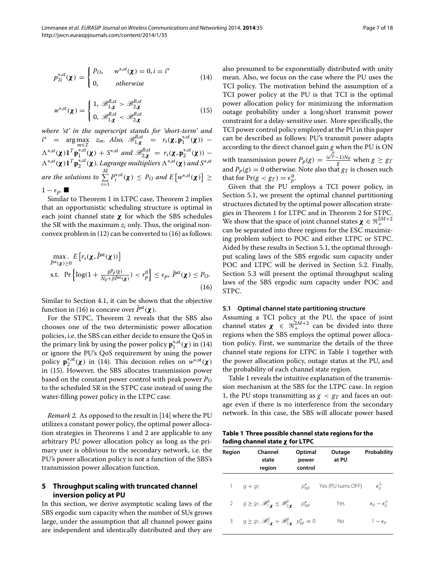<span id="page-6-2"></span>
$$
p_{2i}^{*,st}(\mathbf{x}) = \begin{cases} P_O, & w^{*,st}(\mathbf{x}) = 0, i = i^* \\ 0, & \text{otherwise} \end{cases} \tag{14}
$$

<span id="page-6-3"></span>
$$
w^{*,st}(\boldsymbol{\chi}) = \begin{cases} 1, \ \mathcal{B}_{1,\boldsymbol{\chi}}^{B,st} > \mathcal{B}_{2,\boldsymbol{\chi}}^{B,st} \\ 0, \ \mathcal{B}_{1,\boldsymbol{\chi}}^{B,st} < \mathcal{B}_{2,\boldsymbol{\chi}}^{B,st} \end{cases}
$$
(15)

*where 'st' in the superscript stands for 'short-term' and*  $i^*$  =  $\arg \max_{m \in \mathcal{I}} z_m$ . *Also,*  $\mathcal{B}_{1,\mathbf{X}}^{B,st} = r_s(\mathbf{\chi}, \mathbf{p}_1^{*,st}(\mathbf{\chi}))$  −  $\Lambda^{*,st}(\chi) \mathbf{1}^T \mathbf{p}_1^{*,st}(\chi) + S^{*,st}$  *and*  $\mathscr{B}_{2,\chi}^{B,st} = r_s(\chi, \mathbf{p}_2^{*,st}(\chi)) \Lambda^{*,st}(\chi)$ **1**<sup>*T*</sup> $\mathbf{p}_2^{*,st}(\chi)$ *. Lagrange multipliers*  $\Lambda^{*,st}(\chi)$  *and*  $S^{*,st}$ *are the solutions to M i*=1  $P_i^{*,st}(\boldsymbol{\chi}) \leq P_O$  and  $E\big[w^{*,st}(\boldsymbol{\chi})\big] \geq$  $1 - \epsilon_p$ . ■

Similar to Theorem [1](#page-5-1) in LTPC case, Theorem [2](#page-5-1) implies that an opportunistic scheduling structure is optimal in each joint channel state *χ* for which the SBS schedules the SR with the maximum  $z_i$  only. Thus, the original nonconvex problem in [\(12\)](#page-5-5) can be converted to [\(16\)](#page-6-1) as follows:

<span id="page-6-1"></span>
$$
\max_{\check{P}^{\text{st}}(\chi)\geq 0} E\left[r_s(\chi, \check{P}^{\text{st}}(\chi))\right]
$$
\ns.t.

\n
$$
\Pr\left\{\log(1 + \frac{gP_p(g)}{N_0 + \check{P}^{\text{dst}}(\chi)}) < r_p^0\right\} \leq \epsilon_p, \check{P}^{\text{st}}(\chi) \leq P_O.
$$
\n(16)

Similar to Section [4.1,](#page-4-6) it can be shown that the objective function in [\(16\)](#page-6-1) is concave over  $\check{P}^{\text{st}}(\chi)$ .

For the STPC, Theorem [2](#page-5-1) reveals that the SBS also chooses one of the two deterministic power allocation policies, i.e. the SBS can either decide to ensure the QoS in the primary link by using the power policy  $\mathbf{p}_1^{*,\text{st}}(\boldsymbol{\chi})$  in [\(14\)](#page-6-2) or ignore the PU's QoS requirement by using the power policy  $\mathbf{p}_2^{*,st}(\boldsymbol{\chi})$  in [\(14\)](#page-6-2). This decision relies on  $w^{*,st}(\boldsymbol{\chi})$ in [\(15\)](#page-6-3). However, the SBS allocates transmission power based on the constant power control with peak power *PO* to the scheduled SR in the STPC case instead of using the water-filling power policy in the LTPC case.

*Remark 2.* As opposed to the result in [\[14\]](#page-17-13) where the PU utilizes a constant power policy, the optimal power allocation strategies in Theorems [1](#page-5-1) and [2](#page-5-1) are applicable to any arbitrary PU power allocation policy as long as the primary user is oblivious to the secondary network, i.e. the PU's power allocation policy is not a function of the SBS's transmission power allocation function.

# <span id="page-6-0"></span>**5 Throughput scaling with truncated channel inversion policy at PU**

In this section, we derive asymptotic scaling laws of the SBS ergodic sum capacity when the number of SUs grows large, under the assumption that all channel power gains are independent and identically distributed and they are also presumed to be exponentially distributed with unity mean. Also, we focus on the case where the PU uses the TCI policy. The motivation behind the assumption of a TCI power policy at the PU is that TCI is the optimal power allocation policy for minimizing the information outage probability under a long/short transmit power constraint for a delay-sensitive user. More specifically, the TCI power control policy employed at the PU in this paper can be described as follows: PU's transmit power adapts according to the direct channel gain *g* when the PU is ON with transmission power  $P_p(g) = \frac{(e^{r_p^0}-1)N_0}{g}$  when  $g \geq g_T$ and  $P_p(g) = 0$  otherwise. Note also that  $g_T$  is chosen such that for  $Pr(g < g_T) = \epsilon_p^0$ .

Given that the PU employs a TCI power policy, in Section [5.1,](#page-6-4) we present the optimal channel partitioning structures dictated by the optimal power allocation strategies in Theorem [1](#page-5-1) for LTPC and in Theorem [2](#page-5-1) for STPC. We show that the space of joint channel states  $\chi \in \mathfrak{N}^{2M+2}_+$ can be separated into three regions for the ESC maximizing problem subject to POC and either LTPC or STPC. Aided by these results in Section [5.1,](#page-6-4) the optimal throughput scaling laws of the SBS ergodic sum capacity under POC and LTPC will be derived in Section [5.2.](#page-7-1) Finally, Section [5.3](#page-7-2) will present the optimal throughput scaling laws of the SBS ergodic sum capacity under POC and STPC.

# <span id="page-6-4"></span>**5.1 Optimal channel state partitioning structure**

Assuming a TCI policy at the PU, the space of joint channel states  $\chi \in \mathbb{R}^{2M+2}_+$  can be divided into three regions when the SBS employs the optimal power allocation policy. First, we summarize the details of the three channel state regions for LTPC in Table [1](#page-6-5) together with the power allocation policy, outage status at the PU, and the probability of each channel state region.

Table [1](#page-6-5) reveals the intuitive explanation of the transmission mechanism at the SBS for the LTPC case. In region 1, the PU stops transmitting as  $g < g<sub>T</sub>$  and faces an outage even if there is no interference from the secondary network. In this case, the SBS will allocate power based

<span id="page-6-5"></span>**Table 1 Three possible channel state regions for the fading channel state** *χ* **for LTPC**

| Region | Channel<br>state<br>region                                                                          | Optimal<br>power<br>control | Outage<br>at PU    | Probability                 |
|--------|-----------------------------------------------------------------------------------------------------|-----------------------------|--------------------|-----------------------------|
|        | 1 $q < q_T$                                                                                         | $p_{\text{WF}}^*$           | Yes (PU turns OFF) | $\epsilon_n^0$              |
|        | 2 $g \geq g_T$ , $\mathscr{B}_{1,\mathbf{x}}^B \leq \mathscr{B}_{2,\mathbf{x}}^B$ $p_{\text{WF}}^*$ |                             | Yes                | $\epsilon_p - \epsilon_p^0$ |
| 3      | $g \geq g_T$ , $\mathscr{B}_{1,\mathbf{x}}^B > \mathscr{B}_{2,\mathbf{x}}^B$ $p_{RP}^* = 0$         |                             | Nο                 | $1-\epsilon$                |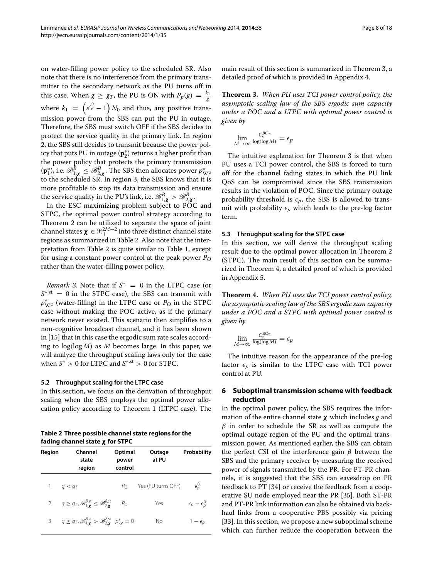on water-filling power policy to the scheduled SR. Also note that there is no interference from the primary transmitter to the secondary network as the PU turns off in this case. When  $g \geq g_T$ , the PU is ON with  $P_p(g) = \frac{k_1}{g}$ where  $k_1 = \left( e^{r_p^0} - 1 \right) N_0$  and thus, any positive transmission power from the SBS can put the PU in outage. Therefore, the SBS must switch OFF if the SBS decides to protect the service quality in the primary link. In region 2, the SBS still decides to transmit because the power policy that puts PU in outage (**p**∗ <sup>2</sup>) returns a higher profit than the power policy that protects the primary transmission  $(\mathbf{p}_1^*)$ , i.e.  $\mathcal{B}_{1,\mathbf{X}}^B \leq \mathcal{B}_{2,\mathbf{X}}^B$ . The SBS then allocates power  $p_{\text{WF}}^*$  to the scheduled SR. In region 3, the SBS knows that it is more profitable to stop its data transmission and ensure the service quality in the PU's link, i.e.  $\mathscr{B}^B_{1,\boldsymbol{\chi}} > \mathscr{B}^B_{2,\boldsymbol{\chi}}$ .

In the ESC maximizing problem subject to POC and STPC, the optimal power control strategy according to Theorem [2](#page-5-1) can be utilized to separate the space of joint channel states  $\boldsymbol{\chi} \in \mathbb{R}^{2M+2}_+$  into three distinct channel state regions as summarized in Table [2.](#page-7-3) Also note that the interpretation from Table [2](#page-7-3) is quite similar to Table [1,](#page-6-5) except for using a constant power control at the peak power  $P_{\Omega}$ rather than the water-filling power policy.

*Remark 3.* Note that if  $S^* = 0$  in the LTPC case (or *<sup>S</sup>*∗,st <sup>=</sup> 0 in the STPC case), the SBS can transmit with  $p_{\rm WF}^*$  (water-filling) in the LTPC case or  $P_{\rm O}$  in the STPC case without making the POC active, as if the primary network never existed. This scenario then simplifies to a non-cognitive broadcast channel, and it has been shown in [\[15\]](#page-17-14) that in this case the ergodic sum rate scales according to  $log(log M)$  as *M* becomes large. In this paper, we will analyze the throughput scaling laws only for the case when  $S^* > 0$  for LTPC and  $S^{*,st} > 0$  for STPC.

#### <span id="page-7-1"></span>**5.2 Throughput scaling for the LTPC case**

In this section, we focus on the derivation of throughput scaling when the SBS employs the optimal power allocation policy according to Theorem [1](#page-5-1) (LTPC case). The

<span id="page-7-3"></span>**Table 2 Three possible channel state regions for the fading channel state** *χ* **for STPC**

| Region | Channel<br>state<br>region                                                                                                         | Optimal<br>power<br>control | Outage<br>at PU    | Probability               |
|--------|------------------------------------------------------------------------------------------------------------------------------------|-----------------------------|--------------------|---------------------------|
|        | 1 $q < q_T$                                                                                                                        | Po                          | Yes (PU turns OFF) | $\epsilon_n^0$            |
|        | 2 $g \geq g_{\tau}, \mathcal{B}_{1,\mathbf{x}}^{\beta,\text{st}} \leq \mathcal{B}_{2,\mathbf{x}}^{\beta,\text{st}}$                | $P_{O}$                     | Yes                | $\epsilon_p-\epsilon_p^0$ |
| 3      | $g \geq g_T$ , $\mathcal{B}_{1,\mathbf{x}}^{\beta,\text{st}} > \mathcal{B}_{2,\mathbf{x}}^{\beta,\text{st}}$ $p_{\text{RP}}^* = 0$ |                             | Nο                 | $1-\epsilon_p$            |

main result of this section is summarized in Theorem [3,](#page-5-1) a detailed proof of which is provided in [Appendix 4.](#page-13-1)

**Theorem 3.** *When PU uses TCI power control policy, the asymptotic scaling law of the SBS ergodic sum capacity under a POC and a LTPC with optimal power control is given by*

$$
\lim_{M \to \infty} \frac{C_s^{BC*}}{\log(\log M)} = \epsilon_p
$$

The intuitive explanation for Theorem [3](#page-5-1) is that when PU uses a TCI power control, the SBS is forced to turn off for the channel fading states in which the PU link QoS can be compromised since the SBS transmission results in the violation of POC. Since the primary outage probability threshold is  $\epsilon_p$ , the SBS is allowed to transmit with probability  $\epsilon_p$  which leads to the pre-log factor term.

#### <span id="page-7-2"></span>**5.3 Throughput scaling for the STPC case**

In this section, we will derive the throughput scaling result due to the optimal power allocation in Theorem [2](#page-5-1) (STPC). The main result of this section can be summarized in Theorem [4,](#page-5-1) a detailed proof of which is provided in [Appendix 5.](#page-15-0)

**Theorem 4.** *When PU uses the TCI power control policy, the asymptotic scaling law of the SBS ergodic sum capacity under a POC and a STPC with optimal power control is given by*

$$
\lim_{M\to\infty}\tfrac{C_s^{\text{BC}*}}{\log(\log M)}=\epsilon_p
$$

The intuitive reason for the appearance of the pre-log factor  $\epsilon_p$  is similar to the LTPC case with TCI power control at PU.

# <span id="page-7-0"></span>**6 Suboptimal transmission scheme with feedback reduction**

In the optimal power policy, the SBS requires the information of the entire channel state *χ* which includes *g* and *β* in order to schedule the SR as well as compute the optimal outage region of the PU and the optimal transmission power. As mentioned earlier, the SBS can obtain the perfect CSI of the interference gain *β* between the SBS and the primary receiver by measuring the received power of signals transmitted by the PR. For PT-PR channels, it is suggested that the SBS can eavesdrop on PR feedback to PT [\[34\]](#page-17-31) or receive the feedback from a cooperative SU node employed near the PR [\[35\]](#page-17-32). Both ST-PR and PT-PR link information can also be obtained via backhaul links from a cooperative PBS possibly via pricing [\[33\]](#page-17-30). In this section, we propose a new suboptimal scheme which can further reduce the cooperation between the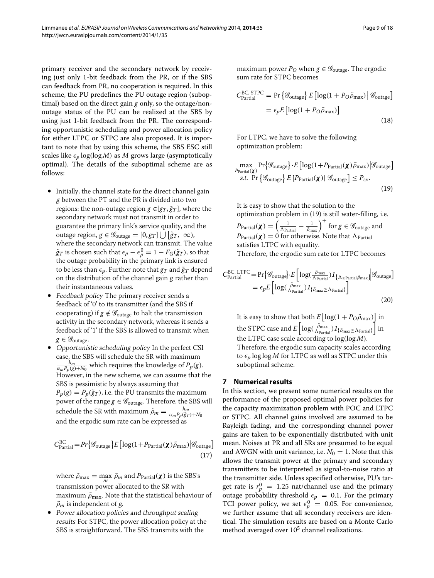primary receiver and the secondary network by receiving just only 1-bit feedback from the PR, or if the SBS can feedback from PR, no cooperation is required. In this scheme, the PU predefines the PU outage region (suboptimal) based on the direct gain *g* only, so the outage/nonoutage status of the PU can be realized at the SBS by using just 1-bit feedback from the PR. The corresponding opportunistic scheduling and power allocation policy for either LTPC or STPC are also proposed. It is important to note that by using this scheme, the SBS ESC still scales like  $\epsilon_p \log(\log M)$  as  $M$  grows large (asymptotically optimal). The details of the suboptimal scheme are as follows:

- Initially, the channel state for the direct channel gain g between the PT and the PR is divided into two regions: the non-outage region  $g \in [g_T, \tilde{g}_T]$ , where the secondary network must not transmit in order to guarantee the primary link's service quality, and the outage region,  $g \in \mathscr{G}_{\text{outage}} = [0, g_T] \bigcup [\tilde{g}_T, \infty)$ , where the secondary network can transmit. The value  $\tilde{g}_T$  is chosen such that  $\epsilon_p - \epsilon_p^0 = 1 - F_G(\tilde{g}_T)$ , so that the outage probability in the primary link is ensured to be less than  $\epsilon_p$ . Further note that  $g_T$  and  $\tilde{g}_T$  depend on the distribution of the channel gain g rather than their instantaneous values.
- Feedback policy The primary receiver sends a feedback of '0' to its transmitter (and the SBS if cooperating) if  $g \notin \mathscr{G}_{\text{outage}}$  to halt the transmission activity in the secondary network, whereas it sends a feedback of '1' if the SBS is allowed to transmit when  $g \in \mathscr{G}_{\text{outage}}$ .
- Opportunistic scheduling policy In the perfect CSI case, the SBS will schedule the SR with maximum  $\frac{h_m}{\alpha_m P_p(g) + N_0}$  which requires the knowledge of  $P_p(g)$ . However, in the new scheme, we can assume that the SBS is pessimistic by always assuming that  $P_p(q) = P_p(\tilde{q}_T)$ , i.e. the PU transmits the maximum power of the range  $g \in \mathscr{G}_{\text{outage}}$ . Therefore, the SBS will schedule the SR with maximum  $\tilde{\rho}_m = \frac{h_m}{\alpha_m P_p(\tilde{g}_T) + N_0}$ and the ergodic sum rate can be expressed as

$$
C_{\text{Partial}}^{\text{BC}} = Pr\{\mathcal{G}_{\text{outage}}\} E\left[\log(1 + P_{\text{Partial}}(\boldsymbol{\chi})\tilde{\rho}_{\text{max}})|\mathcal{G}_{\text{outage}}\right]
$$
\n(17)

where  $\tilde{\rho}_{\text{max}} = \max_{m} \tilde{\rho}_m$  and  $P_{\text{Partial}}(\boldsymbol{\chi})$  is the SBS's transmission power allocated to the SR with maximum  $ρ̃<sub>max</sub>$ . Note that the statistical behaviour of  $\tilde{\rho}_m$  is independent of g.

• Power allocation policies and throughput scaling results For STPC, the power allocation policy at the SBS is straightforward. The SBS transmits with the

maximum power  $P_O$  when  $g \in \mathscr{G}_{\text{outage}}$ . The ergodic sum rate for STPC becomes

$$
C_{\text{Partial}}^{\text{BC, STPC}} = \Pr \left\{ \mathcal{G}_{\text{outage}} \right\} E \left[ \log(1 + P_O \tilde{\rho}_{\text{max}}) \right] \mathcal{G}_{\text{outage}} \right]
$$

$$
= \epsilon_p E \left[ \log(1 + P_O \tilde{\rho}_{\text{max}}) \right]
$$
(18)

<span id="page-8-1"></span>For LTPC, we have to solve the following optimization problem:

$$
\max_{P_{\text{Partial}}(\boldsymbol{\chi})} \Pr\{\mathcal{G}_{\text{outage}}\} \cdot E\left[\log(1 + P_{\text{Partial}}(\boldsymbol{\chi})\tilde{\rho}_{\text{max}})|\mathcal{G}_{\text{outage}}\right] \text{s.t. } \Pr\{\mathcal{G}_{\text{outage}}\} E\left[P_{\text{Partial}}(\boldsymbol{\chi})| \mathcal{G}_{\text{outage}}\right] \leq P_{\text{av}}.
$$
\n(19)

It is easy to show that the solution to the optimization problem in [\(19\)](#page-8-1) is still water-filling, i.e.  $P_{\text{Partial}}(\boldsymbol{\chi}) = \left(\frac{1}{\Lambda_{\text{Partial}}} - \frac{1}{\tilde{\rho}_{\text{max}}}\right)^{+}$  for  $g \in \mathscr{G}_{\text{outage}}$  and  $P_{\text{Partial}}(\chi) = 0$  for otherwise. Note that  $\Lambda_{\text{Partial}}$ satisfies LTPC with equality. Therefore, the ergodic sum rate for LTPC becomes

$$
C_{\text{Partial}}^{\text{BC, LTPC}} = \Pr \{ \mathcal{G}_{\text{outage}} \} \cdot E \left[ \log(\frac{\tilde{\rho}_{\text{max}}}{\Lambda_{\text{Partial}}}) I_{\{\Lambda_{\geq \text{Partial}} \tilde{\rho}_{\text{max}}\}} \middle| \mathcal{G}_{\text{outage}} \right]
$$

$$
= \epsilon_p E \left[ \log(\frac{\tilde{\rho}_{\text{max}}}{\Lambda_{\text{Partial}}}) I_{\{\tilde{\rho}_{\text{max}} \geq \Lambda_{\text{Partial}}\}} \right]
$$
(20)

It is easy to show that both  $E\left[log(1 + P_O\tilde{\rho}_{\text{max}})\right]$  in the STPC case and  $E\left[ \log(\frac{\tilde{\rho}_{\max}}{\Lambda_{\mathrm{Partial}}}) 1_{\{\tilde{\rho}_{\max} \geq \Lambda_{\mathrm{Partial}}\}} \right]$  in the LTPC case scale according to  $log(log M)$ . Therefore, the ergodic sum capacity scales according to  $\epsilon_p$  log log  $M$  for LTPC as well as STPC under this suboptimal scheme.

# <span id="page-8-0"></span>**7 Numerical results**

In this section, we present some numerical results on the performance of the proposed optimal power policies for the capacity maximization problem with POC and LTPC or STPC. All channel gains involved are assumed to be Rayleigh fading, and the corresponding channel power gains are taken to be exponentially distributed with unit mean. Noises at PR and all SRs are presumed to be equal and AWGN with unit variance, i.e.  $N_0 = 1$ . Note that this allows the transmit power at the primary and secondary transmitters to be interpreted as signal-to-noise ratio at the transmitter side. Unless specified otherwise, PU's target rate is  $r_p^0 = 1.25$  nat/channel use and the primary outage probability threshold  $\epsilon_p = 0.1$ . For the primary TCI power policy, we set  $\epsilon_p^0 = 0.05$ . For convenience, we further assume that all secondary receivers are identical. The simulation results are based on a Monte Carlo method averaged over  $10^5$  channel realizations.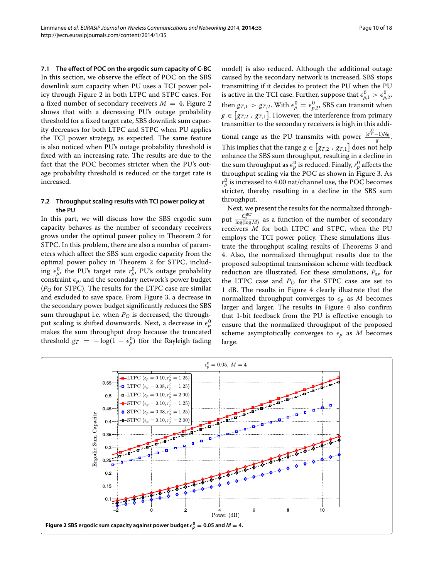**7.1 The effect of POC on the ergodic sum capacity of C-BC** In this section, we observe the effect of POC on the SBS downlink sum capacity when PU uses a TCI power policy through Figure [2](#page-9-0) in both LTPC and STPC cases. For a fixed number of secondary receivers  $M = 4$ , Figure [2](#page-9-0) shows that with a decreasing PU's outage probability threshold for a fixed target rate, SBS downlink sum capacity decreases for both LTPC and STPC when PU applies the TCI power strategy, as expected. The same feature is also noticed when PU's outage probability threshold is fixed with an increasing rate. The results are due to the fact that the POC becomes stricter when the PU's outage probability threshold is reduced or the target rate is increased.

# **7.2 Throughput scaling results with TCI power policy at the PU**

In this part, we will discuss how the SBS ergodic sum capacity behaves as the number of secondary receivers grows under the optimal power policy in Theorem [2](#page-5-1) for STPC. In this problem, there are also a number of parameters which affect the SBS sum ergodic capacity from the optimal power policy in Theorem [2](#page-5-1) for STPC, including  $\epsilon_p^0$ , the PU's target rate  $r_p^0$ , PU's outage probability constraint  $\epsilon_p$ , and the secondary network's power budget  $(P<sub>O</sub>$  for STPC). The results for the LTPC case are similar and excluded to save space. From Figure [3,](#page-10-1) a decrease in the secondary power budget significantly reduces the SBS sum throughput i.e. when  $P_O$  is decreased, the throughput scaling is shifted downwards. Next, a decrease in  $\epsilon_p^0$ makes the sum throughput drop because the truncated threshold  $g_T = -\log(1 - \epsilon_p^0)$  (for the Rayleigh fading

model) is also reduced. Although the additional outage caused by the secondary network is increased, SBS stops transmitting if it decides to protect the PU when the PU is active in the TCI case. Further, suppose that  $\epsilon_{p,1}^0 > \epsilon_{p,2}^0,$ then  $g_{T,1} > g_{T,2}$ . With  $\epsilon_p^0 = \epsilon_{p,2}^0$ , SBS can transmit when  $g \in [g_{T,2}, g_{T,1}]$ . However, the interference from primary transmitter to the secondary receivers is high in this additional range as the PU transmits with power  $\frac{(e^{r_p^0}-1)N_0}{g}$ . This implies that the range  $g \in [g_{T,2}, g_{T,1}]$  does not help enhance the SBS sum throughput, resulting in a decline in the sum throughput as  $\epsilon_p^0$  is reduced. Finally,  $r_p^0$  affects the throughput scaling via the POC as shown in Figure [3.](#page-10-1) As  $r_p^0$  is increased to 4.00 nat/channel use, the POC becomes stricter, thereby resulting in a decline in the SBS sum throughput.

Next, we present the results for the normalized throughput  $\frac{C_S^{\text{BC}}}{\log(\log M)}$  as a function of the number of secondary receivers *M* for both LTPC and STPC, when the PU employs the TCI power policy. These simulations illustrate the throughput scaling results of Theorems [3](#page-5-1) and [4.](#page-5-1) Also, the normalized throughput results due to the proposed suboptimal transmission scheme with feedback reduction are illustrated. For these simulations,  $P_{av}$  for the LTPC case and  $P<sub>O</sub>$  for the STPC case are set to 1 dB. The results in Figure [4](#page-10-2) clearly illustrate that the normalized throughput converges to  $\epsilon_p$  as  $M$  becomes larger and larger. The results in Figure [4](#page-10-2) also confirm that 1-bit feedback from the PU is effective enough to ensure that the normalized throughput of the proposed scheme asymptotically converges to  $\epsilon_p$  as M becomes large.

<span id="page-9-0"></span>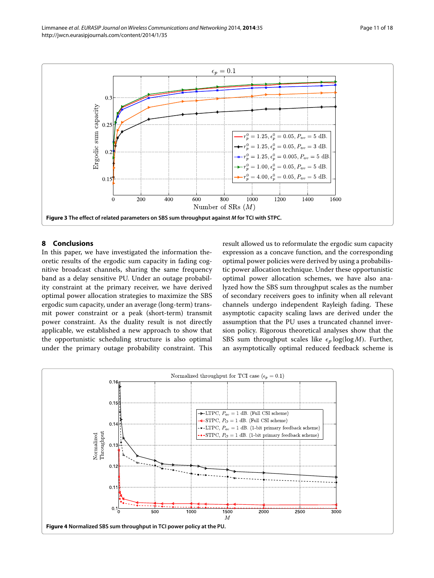

# <span id="page-10-1"></span><span id="page-10-0"></span>**8 Conclusions**

In this paper, we have investigated the information theoretic results of the ergodic sum capacity in fading cognitive broadcast channels, sharing the same frequency band as a delay sensitive PU. Under an outage probability constraint at the primary receiver, we have derived optimal power allocation strategies to maximize the SBS ergodic sum capacity, under an average (long-term) transmit power constraint or a peak (short-term) transmit power constraint. As the duality result is not directly applicable, we established a new approach to show that the opportunistic scheduling structure is also optimal under the primary outage probability constraint. This

result allowed us to reformulate the ergodic sum capacity expression as a concave function, and the corresponding optimal power policies were derived by using a probabilistic power allocation technique. Under these opportunistic optimal power allocation schemes, we have also analyzed how the SBS sum throughput scales as the number of secondary receivers goes to infinity when all relevant channels undergo independent Rayleigh fading. These asymptotic capacity scaling laws are derived under the assumption that the PU uses a truncated channel inversion policy. Rigorous theoretical analyses show that the SBS sum throughput scales like  $\epsilon_p \log(\log M)$ . Further, an asymptotically optimal reduced feedback scheme is

<span id="page-10-2"></span>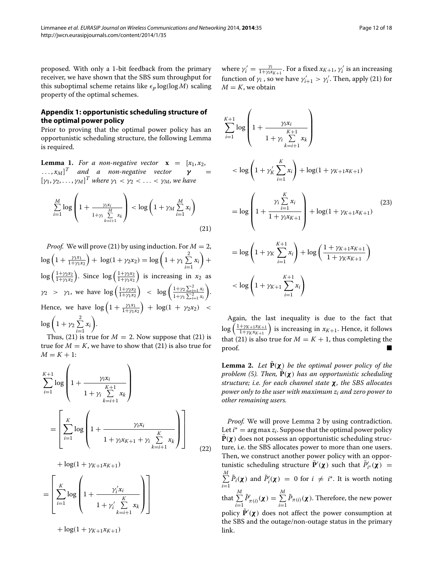# <span id="page-11-0"></span>**Appendix 1: opportunistic scheduling structure of the optimal power policy**

Prior to proving that the optimal power policy has an opportunistic scheduling structure, the following Lemma is required.

<span id="page-11-1"></span>**Lemma 1.** For a non-negative vector  $\mathbf{x} = [x_1, x_2,$  $\ldots$ ,  $x_M$ ]<sup>T</sup> and a non-negative vector **γ** =  $[\gamma_1, \gamma_2, \ldots, \gamma_M]^T$  where  $\gamma_1 < \gamma_2 < \ldots < \gamma_M$ , we have

$$
\sum_{i=1}^{M} \log \left( 1 + \frac{\gamma_i x_i}{1 + \gamma_i \sum\limits_{k=i+1}^{M} x_k} \right) < \log \left( 1 + \gamma_M \sum\limits_{i=1}^{M} x_i \right) \tag{21}
$$

*Proof.* We will prove [\(21\)](#page-11-3) by using induction. For  $M = 2$ ,  $\log \left( 1 + \frac{\gamma_1 x_1}{1 + \gamma_1 x_2} \right)$  $+\log(1+\gamma_2 x_2) = \log\left(1+\gamma_1\sum_{i=1}^2\right)$ *i*=1 *xi*  $^{+}$  $\log\left( \frac{1+\gamma_2 x_2}{1+\gamma_1 x_2}\right.$ ). Since  $\log \left( \frac{1+\gamma_2 x_2}{1+\gamma_1 x_2} \right)$ ) is increasing in  $x_2$  as *γ*<sub>2</sub> > *γ*<sub>1</sub>, we have  $log \left( \frac{1 + \gamma_2 x_2}{1 + \gamma_1 x_2} \right)$  $\log \left( \frac{1 + \gamma_2 \sum_{i=1}^2 x_i}{1 + \gamma_2 \sum_{i=1}^2 x_i} \right)$  $\frac{1+\gamma_1\sum_{i=1}^2 x_i}{\gamma_i}$  . Hence, we have  $\log \left(1 + \frac{\gamma_1 x_1}{1 + \gamma_1 x_2}\right)$  $\bigg) + \log(1 + \gamma_2 x_2)$  <  $\log\left(1+\gamma_2\sum\limits_{i=1}^2\right)$ *i*=1 *x<sub>i</sub>*).

Thus, [\(21\)](#page-11-3) is true for  $M = 2$ . Now suppose that (21) is true for  $M = K$ , we have to show that [\(21\)](#page-11-3) is also true for  $M = K + 1$ :

$$
\sum_{i=1}^{K+1} \log \left( 1 + \frac{\gamma_i x_i}{1 + \gamma_i \sum_{k=i+1}^{K+1} x_k} \right)
$$
\n
$$
= \left[ \sum_{i=1}^{K} \log \left( 1 + \frac{\gamma_i x_i}{1 + \gamma_i x_{K+1} + \gamma_i \sum_{k=i+1}^{K} x_k} \right) \right]
$$
\n(22)

$$
+\log(1+\gamma_{K+1}x_{K+1})
$$

$$
= \left[ \sum_{i=1}^{K} \log \left( 1 + \frac{\gamma'_i x_i}{1 + \gamma'_i \sum\limits_{k=i+1}^{K} x_k} \right) \right]
$$

 $+ \log(1 + \gamma_{K+1} x_{K+1})$ 

where  $\gamma_i' = \frac{\gamma_i}{1 + \gamma_i x_{K+1}}$ . For a fixed  $x_{K+1}, \gamma_i'$  is an increasing function of  $\gamma_i$ , so we have  $\gamma'_{i+1} > \gamma'_i$ . Then, apply [\(21\)](#page-11-3) for  $M = K$ , we obtain

<span id="page-11-3"></span>
$$
\sum_{i=1}^{K+1} \log \left( 1 + \frac{\gamma_i x_i}{1 + \gamma_i \sum_{k=i+1}^{K+1} x_k} \right)
$$
  

$$
< \log \left( 1 + \gamma_K' \sum_{i=1}^{K} x_i \right) + \log(1 + \gamma_{K+1} x_{K+1})
$$
  

$$
= \log \left( 1 + \frac{\gamma_i \sum_{i=1}^{K} x_i}{1 + \gamma_i x_{K+1}} \right) + \log(1 + \gamma_{K+1} x_{K+1})
$$
  

$$
= \log \left( 1 + \gamma_K \sum_{i=1}^{K+1} x_i \right) + \log \left( \frac{1 + \gamma_{K+1} x_{K+1}}{1 + \gamma_K x_{K+1}} \right)
$$
  

$$
< \log \left( 1 + \gamma_{K+1} \sum_{i=1}^{K+1} x_i \right)
$$

Again, the last inequality is due to the fact that  $\log\left(\frac{1+\gamma_{K+1}x_{K+1}}{1+\gamma_Kx_{K+1}}\right)$ ) is increasing in  $x_{K+1}$ . Hence, it follows that [\(21\)](#page-11-3) is also true for  $M = K + 1$ , thus completing the proof. proof.

<span id="page-11-2"></span>**Lemma 2.** Let  $\tilde{P}(\chi)$  be the optimal power policy of the *problem [\(5\)](#page-4-5). Then,*  $\tilde{P}(\chi)$  *has an opportunistic scheduling structure; i.e. for each channel state χ, the SBS allocates power only to the user with maximum zi and zero power to other remaining users.*

*Proof.* We will prove Lemma [2](#page-11-2) by using contradiction. Let  $i^* = \arg \max z_i$ . Suppose that the optimal power policy  $P(\chi)$  does not possess an opportunistic scheduling structure, i.e. the SBS allocates power to more than one users. Then, we construct another power policy with an opportunistic scheduling structure  $P'(x)$  such that  $P'_{i^*}(x) =$  *M i*=1  $\hat{P}_i(\boldsymbol{\chi})$  and  $\hat{P}'_i(\boldsymbol{\chi}) = 0$  for  $i \neq i^*$ . It is worth noting that  $\sum^M$ *i*=1  $\tilde{P}^{\prime}_{\pi(i)}(\mathbf{\chi}) = \sum_{i=1}^{M}$ *i*=1  $\hat{P}_{\pi(i)}(\pmb{\chi})$ . Therefore, the new power policy  $\mathbf{P}'(\pmb{\chi})$  does not affect the power consumption at the SBS and the outage/non-outage status in the primary link.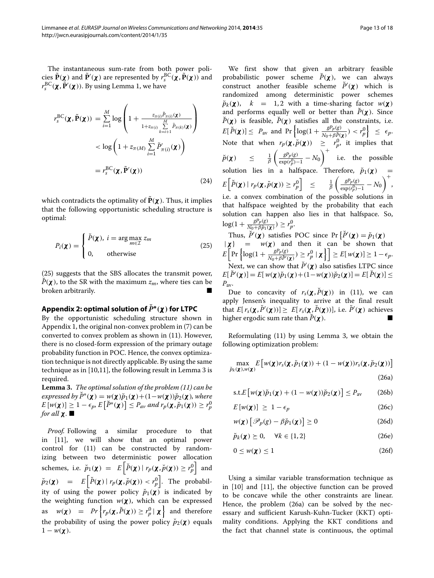The instantaneous sum-rate from both power policies  $\tilde{P}(\chi)$  and  $\tilde{P}'(\chi)$  are represented by  $r_s^{BC}(\chi, \tilde{P}(\chi))$  and  $r_s^{\text{BC}}(\mathbf{\chi},\tilde{\mathbf{P}}'(\mathbf{\chi})).$  By using Lemma [1,](#page-11-1) we have

$$
r_s^{BC}(\boldsymbol{\chi}, \tilde{\mathbf{P}}(\boldsymbol{\chi})) = \sum_{i=1}^M \log \left( 1 + \frac{z_{\pi(i)} \tilde{P}_{\pi(i)}(\boldsymbol{\chi})}{1 + z_{\pi(i)} \sum_{k=i+1}^M \tilde{P}_{\pi(k)}(\boldsymbol{\chi})} \right)
$$

$$
< \log \left( 1 + z_{\pi(M)} \sum_{i=1}^M \tilde{P}'_{\pi(i)}(\boldsymbol{\chi}) \right)
$$

$$
= r_s^{BC}(\boldsymbol{\chi}, \tilde{\mathbf{P}}'(\boldsymbol{\chi})) \tag{24}
$$

which contradicts the optimality of  $\tilde{P}(\chi)$ . Thus, it implies that the following opportunistic scheduling structure is optimal:

<span id="page-12-1"></span>
$$
P_i(\mathbf{\chi}) = \begin{cases} \check{P}(\mathbf{\chi}), \ i = \arg \max_{m \in \mathcal{I}} z_m \\ 0, \quad \text{otherwise} \end{cases}
$$
 (25)

[\(25\)](#page-12-1) suggests that the SBS allocates the transmit power,  $\tilde{P}(\chi)$ , to the SR with the maximum  $z_m$ , where ties can be broken arbitrarily.

# <span id="page-12-0"></span>**Appendix 2: optimal solution of** *P***˘ ∗***(χ )* **for LTPC**

By the opportunistic scheduling structure shown in [Appendix 1,](#page-11-0) the original non-convex problem in [\(7\)](#page-4-7) can be converted to convex problem as shown in [\(11\)](#page-5-2). However, there is no closed-form expression of the primary outage probability function in POC. Hence, the convex optimization technique is not directly applicable. By using the same technique as in [\[10,](#page-17-9)[11\]](#page-17-10), the following result in Lemma [3](#page-12-2) is required.

<span id="page-12-2"></span>**Lemma 3.** *The optimal solution of the problem [\(11\)](#page-5-2) can be*  $\ell$ *expressed by*  $\check{P}^*(\chi) = w(\chi)\check{p}_1(\chi) + (1 - w(\chi))\check{p}_2(\chi)$ *, where*  $E[w(\boldsymbol{\chi})] \geq 1 - \epsilon_p$ ,  $E\left[\check{P}^*(\boldsymbol{\chi})\right] \leq P_{av}$  and  $r_p(\boldsymbol{\chi}, \check{p}_1(\boldsymbol{\chi})) \geq r_p^0$  $f$ *or all*  $\pmb{\chi}$  .  $\blacksquare$ 

*Proof.* Following a similar procedure to that in [\[11\]](#page-17-10), we will show that an optimal power control for [\(11\)](#page-5-2) can be constructed by randomizing between two deterministic power allocation schemes, i.e.  $\check{p}_1(\chi) = E\left[\check{P}(\chi) | r_p(\chi, \check{p}(\chi)) \ge r_p^0\right]$  and  $\tilde{p}_2(\mathbf{\chi}) = E\left[\tilde{P}(\mathbf{\chi}) \mid r_p(\mathbf{\chi}, \tilde{p}(\mathbf{\chi})) < r_p^0\right].$  The probability of using the power policy  $\check{p}_1(\chi)$  is indicated by the weighting function  $w(\chi)$ , which can be expressed as  $w(\boldsymbol{\chi}) = Pr \left\{ r_p(\boldsymbol{\chi}, \check{P}(\boldsymbol{\chi})) \ge r_p^0 | \boldsymbol{\chi} \right\}$  and therefore the probability of using the power policy  $\tilde{p}_2(\chi)$  equals  $1 - w(\chi)$ .

We first show that given an arbitrary feasible probabilistic power scheme  $\check{P}(\chi)$ , we can always construct another feasible scheme  $\tilde{P}'(\chi)$  which is randomized among deterministic power schemes  $\breve{p}_k(\chi)$ ,  $k = 1, 2$  with a time-sharing factor  $w(\chi)$ and performs equally well or better than  $\tilde{P}(\chi)$ . Since  $P(\chi)$  is feasible,  $P(\chi)$  satisfies all the constraints, i.e.  $E[\check{P}(\boldsymbol{\chi})] \leq P_{\text{av}} \text{ and } Pr \left\{ \log(1 + \frac{gP_p(g)}{N_0 + \beta \check{P}(\boldsymbol{\chi})}) < r_p^0 \right\} \leq \epsilon_p.$ Note that when  $r_p(\boldsymbol{\chi}, \breve{p}(\boldsymbol{\chi})) \geq r_p^0$ , it implies that  $\breve{p}(\chi) \leq \frac{1}{\beta}$  $\int$ *gP<sub>p</sub>*(*g*)  $\left(\frac{gP_p(g)}{\exp(r_p^0)-1}-N_0\right)^+$  i.e. the possible solution lies in a halfspace. Therefore,  $\breve{p}_1(\chi) =$  $E\left[\breve{P}(\boldsymbol{\chi}) \mid r_p(\boldsymbol{\chi}, \breve{p}(\boldsymbol{\chi})) \geq r_p^0\right] \leq \frac{1}{\beta}$  $\int$ *gP<sub>p</sub>*(*g*)  $\frac{gP_p(g)}{\exp(r_p^0)-1} - N_0$ <sup>+</sup>, i.e. a convex combination of the possible solutions in that halfspace weighted by the probability that each solution can happen also lies in that halfspace. So,  $log(1 + \frac{gP_p(g)}{N_0 + \beta p_1(\chi)}) \ge r_p^0.$ 

Thus,  $\tilde{P}'(\mathbf{\chi})$  satisfies POC since Pr  $\left\{ \tilde{P}'(\mathbf{\chi}) = \tilde{p}_1(\mathbf{\chi}) \right\}$  $|\mathbf{x}| = w(\mathbf{x})$  and then it can be shown that  $E\left[\Pr\left\{\log(1+\frac{gP_p(g)}{N_0+\beta P(\mathbf{x})})\ge r_p^0\mid \mathbf{x}\right\}\right] \ge E[w(\mathbf{x})] \ge 1-\epsilon_p.$ Next, we can show that *P*˘ *(χ )* also satisfies LTPC since  $E[P'(\chi)] = E[w(\chi)\check{p}_1(\chi) + (1 - w(\chi))\check{p}_2(\chi)] = E[P(\chi)] \le$  $P_{\rm av}.$ 

Due to concavity of  $r_s(\chi, \check{P}(\chi))$  in [\(11\)](#page-5-2), we can apply Jensen's inequality to arrive at the final result that  $E[r_s(\pmb{\chi}, \tilde{P}'(\pmb{\chi}))] \geq E[r_s(\pmb{\chi}, \tilde{P}(\pmb{\chi}))]$ , i.e.  $\tilde{P}'(\pmb{\chi})$  achieves higher ergodic sum rate than  $\tilde{P}(\chi)$ .

Reformulating [\(11\)](#page-5-2) by using Lemma [3,](#page-12-2) we obtain the following optimization problem:

$$
\max_{\breve{p}_{k}(\chi),w(\chi)} E\big[w(\chi)r_{s}(\chi,\breve{p}_{1}(\chi)) + (1 - w(\chi))r_{s}(\chi,\breve{p}_{2}(\chi))\big] (26a)
$$

<span id="page-12-3"></span>
$$
\text{s.t.} E\left[w(\boldsymbol{\chi})\breve{p}_1(\boldsymbol{\chi}) + (1 - w(\boldsymbol{\chi}))\breve{p}_2(\boldsymbol{\chi})\right] \le P_{\text{av}} \qquad (26b)
$$

$$
E\left[w(\pmb{\chi})\right] \geq 1 - \epsilon_p \tag{26c}
$$

$$
w(\mathbf{\chi})\left[\mathcal{P}_p(g) - \beta \check{p}_1(\mathbf{\chi})\right] \ge 0 \tag{26d}
$$

$$
\breve{p}_k(\chi) \succeq 0, \quad \forall k \in \{1, 2\} \tag{26e}
$$

$$
0 \le w(\chi) \le 1 \tag{26f}
$$

Using a similar variable transformation technique as in [\[10\]](#page-17-9) and [\[11\]](#page-17-10), the objective function can be proved to be concave while the other constraints are linear. Hence, the problem [\(26a\)](#page-12-3) can be solved by the necessary and sufficient Karush-Kuhn-Tucker (KKT) optimality conditions. Applying the KKT conditions and the fact that channel state is continuous, the optimal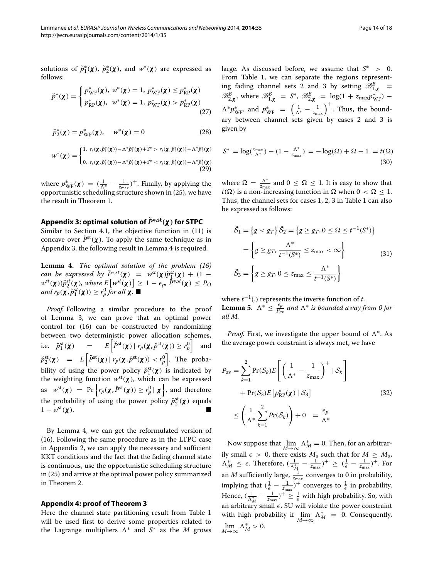solutions of  $\check{p}_1^*(\chi)$ ,  $\check{p}_2^*(\chi)$ , and  $w^*(\chi)$  are expressed as follows:

$$
\breve{p}_1^*(\boldsymbol{\chi}) = \begin{cases} p_{\rm WF}^*(\boldsymbol{\chi}), \ w^*(\boldsymbol{\chi}) = 1, \ p_{\rm WF}^*(\boldsymbol{\chi}) \le p_{\rm RP}^*(\boldsymbol{\chi}) \\ p_{\rm RP}^*(\boldsymbol{\chi}), \ w^*(\boldsymbol{\chi}) = 1, \ p_{\rm WF}^*(\boldsymbol{\chi}) > p_{\rm RP}^*(\boldsymbol{\chi}) \end{cases}
$$
\n(27)

$$
\breve{p}_2^*(\chi) = p_{\rm WF}^*(\chi), \quad w^*(\chi) = 0 \tag{28}
$$

$$
w^*(\boldsymbol{\chi}) = \begin{cases} 1, & r_s(\boldsymbol{\chi}, \check{p}_1^*(\boldsymbol{\chi})) - \Lambda^* \check{p}_1^*(\boldsymbol{\chi}) + S^* > r_s(\boldsymbol{\chi}, \check{p}_2^*(\boldsymbol{\chi})) - \Lambda^* \check{p}_2^*(\boldsymbol{\chi}) \\ 0, & r_s(\boldsymbol{\chi}, \check{z}_1^*(\boldsymbol{\chi})) - \Lambda^* \check{z}_2^*(\boldsymbol{\chi}) + S^* > r_s(\boldsymbol{\chi}, \check{z}_1^*(\boldsymbol{\chi})) - \Lambda^* \check{z}_2^*(\boldsymbol{\chi}) \end{cases}
$$

$$
\begin{aligned} \text{(0, } r_{s}(\boldsymbol{\chi}, \check{p}_{1}^{*}(\boldsymbol{\chi})) - \Lambda^{*} \check{p}_{1}^{*}(\boldsymbol{\chi}) + S^{*} < r_{s}(\boldsymbol{\chi}, \check{p}_{2}^{*}(\boldsymbol{\chi})) - \Lambda^{*} \check{p}_{2}^{*}(\boldsymbol{\chi}) \\ \text{(29)} \end{aligned}
$$

where  $p_{\text{WF}}^*(\boldsymbol{\chi}) = (\frac{1}{\Lambda^*} - \frac{1}{z_{\text{max}}})^+$ . Finally, by applying the opportunistic scheduling structure shown in [\(25\)](#page-12-1), we have the result in Theorem [1.](#page-5-1)

# <span id="page-13-0"></span>**Appendix 3: optimal solution of**  $\check{P}^{*,\text{st}}(\chi)$  **for STPC**

Similar to Section [4.1,](#page-4-6) the objective function in [\(11\)](#page-5-2) is concave over  $\check{P}^{\rm st}(\chi)$ . To apply the same technique as in [Appendix 3,](#page-13-0) the following result in Lemma [4](#page-13-2) is required.

<span id="page-13-2"></span>**Lemma 4.** *The optimal solution of the problem [\(16\)](#page-6-1) can be expressed by*  $\check{P}^{*,st}(\boldsymbol{\chi}) = w^{st}(\boldsymbol{\chi})\check{p}_\downarrow^{st}(\boldsymbol{\chi}) + (1 - \chi)$  $w^{st}(\boldsymbol{\chi})\check{p}^{st}_{2}(\boldsymbol{\chi})$ *, where*  $E\left[w^{st}(\boldsymbol{\chi})\right] \geq 1 - \epsilon_{p}$ ,  $\check{p}^{*,st}(\boldsymbol{\chi}) \leq P_{\text{O}}$  $\mathcal{L}$  *and r<sub>p</sub>*( $\chi$ ,  $\check{p}_1^{st}(\chi)$ )  $\geq r_p^0$  *for all*  $\chi$ .

*Proof.* Following a similar procedure to the proof of Lemma [3,](#page-12-2) we can prove that an optimal power control for [\(16\)](#page-6-1) can be constructed by randomizing between two deterministic power allocation schemes, i.e.  $\check{p}_1^{\text{st}}(\chi)$  $E\left[\check{P}^{\text{st}}(\boldsymbol{\chi}) \mid r_p(\boldsymbol{\chi}, \check{p}^{\text{st}}(\boldsymbol{\chi})) \geq r_p^0\right]$  and  $\breve{p}_2^{\text{st}}(\boldsymbol{\chi}) = E\left[\breve{P}^{\text{st}}(\boldsymbol{\chi}) \mid r_p(\boldsymbol{\chi}, \breve{p}^{\text{st}}(\boldsymbol{\chi})) < r_p^0\right]$ . The probability of using the power policy  $\check{p}_1^{\text{st}}(\chi)$  is indicated by the weighting function *w*st*(χ )*, which can be expressed as  $w^{\text{st}}(\boldsymbol{\chi}) = \Pr \left\{ r_p(\boldsymbol{\chi}, \check{P}^{\text{st}}(\boldsymbol{\chi})) \geq r_p^0 \, | \, \boldsymbol{\chi} \right\}$ , and therefore the probability of using the power policy  $\breve{p}_2^{\text{st}}(\chi)$  equals  $1 - w^{\text{st}}(\boldsymbol{\chi}).$ 

By Lemma [4,](#page-13-2) we can get the reformulated version of [\(16\)](#page-6-1). Following the same procedure as in the LTPC case in [Appendix 2,](#page-12-0) we can apply the necessary and sufficient KKT conditions and the fact that the fading channel state is continuous, use the opportunistic scheduling structure in [\(25\)](#page-12-1) and arrive at the optimal power policy summarized in Theorem [2.](#page-5-1)

#### <span id="page-13-1"></span>**Appendix 4: proof of Theorem [3](#page-5-1)**

Here the channel state partitioning result from Table [1](#page-6-5) will be used first to derive some properties related to the Lagrange multipliers  $\Lambda^*$  and  $S^*$  as the *M* grows large. As discussed before, we assume that *S*∗ *>* 0. From Table [1,](#page-6-5) we can separate the regions representing fading channel sets 2 and 3 by setting  $\mathscr{B}^B_{1,\boldsymbol{\chi}}$  =  $\mathscr{B}_{2,\chi}^B$ , where  $\mathscr{B}_{1,\chi}^B = S^*$ ,  $\mathscr{B}_{2,\chi}^B = \log(1 + z_{\text{max}} p_{\text{WF}}^*)$  –  $\Lambda^* p_{\text{WF}}^*$ , and  $p_{\text{WF}}^* = \left(\frac{1}{\Lambda^*} - \frac{1}{z_{\text{max}}}\right)^+$ . Thus, the boundary between channel sets given by cases 2 and 3 is given by

$$
S^* = \log(\frac{z_{\max}}{\Lambda^*}) - (1 - \frac{\Lambda^*}{z_{\max}}) = -\log(\Omega) + \Omega - 1 = t(\Omega)
$$
\n(30)

where  $\Omega = \frac{\Lambda^*}{z_{\text{max}}}$  and  $0 \le \Omega \le 1$ . It is easy to show that  $t(\Omega)$  is a non-increasing function in  $\Omega$  when  $0 < \Omega \leq 1$ . Thus, the channel sets for cases 1, 2, 3 in Table [1](#page-6-5) can also be expressed as follows:

$$
\tilde{S}_1 = \{g < g_T\} \tilde{S}_2 = \{g \ge g_T, 0 \le \Omega \le t^{-1}(S^*)\}
$$
\n
$$
= \left\{g \ge g_T, \frac{\Lambda^*}{t^{-1}(S^*)} \le z_{\text{max}} < \infty\right\} \tag{31}
$$
\n
$$
\tilde{S}_3 = \left\{g \ge g_T, 0 \le z_{\text{max}} \le \frac{\Lambda^*}{t^{-1}(S^*)}\right\}
$$

<span id="page-13-3"></span>where  $t^{-1}$ (.) represents the inverse function of *t*. **Lemma 5.**  $\Lambda^* \leq \frac{\epsilon_p}{P_{av}}$  and  $\Lambda^*$  is bounded away from 0 for *all M.*

*Proof.* First, we investigate the upper bound of  $\Lambda^*$ . As the average power constraint is always met, we have

$$
P_{\text{av}} = \sum_{k=1}^{2} \Pr(S_k) E\left[\left(\frac{1}{\Lambda^*} - \frac{1}{z_{\text{max}}}\right)^+ \mid S_k\right] + \Pr(S_3) E\left[p_{\text{RP}}^*(\mathbf{x}) \mid S_3\right] \tag{32}
$$

$$
\leq \left(\frac{1}{\Lambda^*} \sum_{k=1}^{2} \Pr(S_k)\right) + 0 = \frac{\epsilon_p}{\Lambda^*}
$$

Now suppose that  $\lim_{M\to\infty} \Lambda_M^* = 0$ . Then, for an arbitrarily small  $\epsilon > 0$ , there exists  $M_{\rho}$  such that for  $M \geq M_{\rho}$ , *N*<sup>\*</sup><sub>*M*</sub> ≤  $\epsilon$ . Therefore,  $(\frac{1}{\Lambda_M^*} - \frac{1}{z_{\text{max}}})^+$  ≥  $(\frac{1}{\epsilon} - \frac{1}{z_{\text{max}}})^+$ . For an  $M$  sufficiently large,  $\frac{1}{z_{\text{max}}}$  converges to 0 in probability, implying that  $(\frac{1}{\epsilon} - \frac{1}{z_{\text{max}}})^+$  converges to  $\frac{1}{\epsilon}$  in probability. Hence,  $(\frac{1}{\Lambda_M^*} - \frac{1}{z_{\text{max}}}^{\})^+ \geq \frac{1}{\epsilon}$  with high probability. So, with an arbitrary small  $\epsilon$ , SU will violate the power constraint with high probability if  $\lim_{M \to \infty} \Lambda_M^* = 0$ . Consequently,  $\lim_{M\to\infty}\Lambda_M^* > 0.$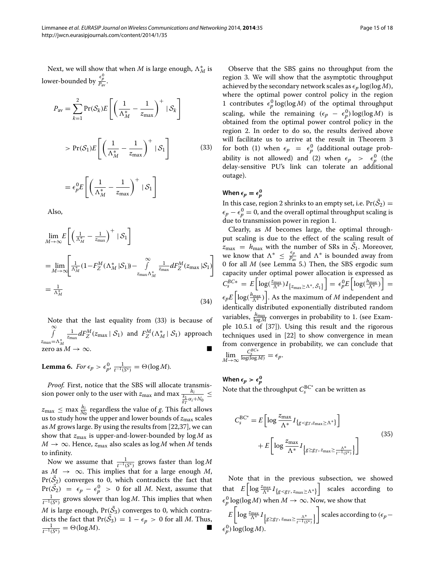Next, we will show that when  $M$  is large enough,  $\Lambda_M^*$  is lower-bounded by  $\frac{\epsilon_p^0}{P_{\rm av}}$ .

<span id="page-14-0"></span>
$$
P_{\text{av}} = \sum_{k=1}^{2} \Pr(\mathcal{S}_k) E\left[ \left( \frac{1}{\Lambda_M^*} - \frac{1}{z_{\text{max}}} \right)^+ \mid \mathcal{S}_k \right]
$$
  
>  $\Pr(\mathcal{S}_1) E\left[ \left( \frac{1}{\Lambda_M^*} - \frac{1}{z_{\text{max}}} \right)^+ \mid \mathcal{S}_1 \right]$  (33)  
=  $\epsilon_p^0 E\left[ \left( \frac{1}{\Lambda_M^*} - \frac{1}{z_{\text{max}}} \right)^+ \mid \mathcal{S}_1 \right]$ 

Also,

$$
\lim_{M \to \infty} E\left[ \left( \frac{1}{\Lambda_M^*} - \frac{1}{z_{\text{max}}} \right)^+ \mid \mathcal{S}_1 \right]
$$
\n
$$
= \lim_{M \to \infty} \left[ \frac{1}{\Lambda_M^*} (1 - F_Z^M(\Lambda_M^* \mid \mathcal{S}_1)) - \int_{z_{\text{max}} \Lambda_M^*}^{\infty} \frac{1}{z_{\text{max}}} dF_Z^M(z_{\text{max}} \mid \mathcal{S}_1) \right]
$$
\n
$$
= \frac{1}{\Lambda_M^*}
$$
\n(34)

Note that the last equality from [\(33\)](#page-14-0) is because of  $\int^{\infty}$  $z_{\text{max}} = \Lambda_M^*$  $\frac{1}{z_{\text{max}}}dF_Z^M(z_{\text{max}} \mid \mathcal{S}_1)$  and  $F_Z^M(\Lambda_M^* \mid \mathcal{S}_1)$  approach zero as  $M \to \infty$ .

<span id="page-14-1"></span>**Lemma 6.** *For*  $\epsilon_p > \epsilon_p^0$ ,  $\frac{1}{t^{-1}(S^*)} = \Theta(\log M)$ *.* 

*Proof.* First, notice that the SBS will allocate transmission power only to the user with  $z_{\text{max}}$  and  $\max \frac{h_i}{\frac{k_1}{g_T}\alpha_i + N_0}$ ≤  $z_{\text{max}} \leq \max_{N_0} \frac{h_i}{N_0}$  regardless the value of *g*. This fact allows us to study how the upper and lower bounds of  $z_{\text{max}}$  scales as *M* grows large. By using the results from [\[22](#page-17-21)[,37\]](#page-17-34), we can show that *z*max is upper-and-lower-bounded by log *M* as  $M \to \infty$ . Hence,  $z_{\text{max}}$  also scales as  $\log M$  when *M* tends to infinity.

Now we assume that  $\frac{1}{t^{-1}(S^*)}$  grows faster than  $\log M$ as  $M \rightarrow \infty$ . This implies that for a large enough M,  $Pr(S_2)$  converges to 0, which contradicts the fact that  $\Pr(\tilde{S}_2) = \epsilon_p - \epsilon_p^0 > 0$  for all *M*. Next, assume that 1 *<sup>t</sup>*−1*(S*∗*)* grows slower than log *M*. This implies that when *M* is large enough,  $Pr(S_3)$  converges to 0, which contradicts the fact that  $Pr(S_3) = 1 - \epsilon_p > 0$  for all *M*. Thus,  $\frac{1}{t^{-1}(S^*)}$  =  $\Theta(\log M)$ . ■

Observe that the SBS gains no throughput from the region 3. We will show that the asymptotic throughput achieved by the secondary network scales as  $\epsilon_p \log(\log M)$ , where the optimal power control policy in the region 1 contributes  $\epsilon_p^0 \log(\log M)$  of the optimal throughput scaling, while the remaining  $(\epsilon_p - \epsilon_p^0) \log(\log M)$  is obtained from the optimal power control policy in the region 2. In order to do so, the results derived above will facilitate us to arrive at the result in Theorem [3](#page-5-1) for both (1) when  $\epsilon_p = \epsilon_p^0$  (additional outage probability is not allowed) and (2) when  $\epsilon_p$   $>$   $\epsilon_p^0$  (the delay-sensitive PU's link can tolerate an additional outage).

# When  $\epsilon_p = \epsilon_p^0$

In this case, region 2 shrinks to an empty set, i.e.  $Pr(S_2) =$  $\epsilon_p - \epsilon_p^0 = 0$ , and the overall optimal throughput scaling is due to transmission power in region 1.

Clearly, as *M* becomes large, the optimal throughput scaling is due to the effect of the scaling result of  $z_{\text{max}} = h_{\text{max}}$  with the number of SRs in  $S_1$ . Moreover,<br>we know that  $\Lambda^* \leq \frac{\epsilon_p}{P_{\text{av}}}$  and  $\Lambda^*$  is bounded away from 0 for all *M* (see Lemma [5.](#page-13-3)) Then, the SBS ergodic sum capacity under optimal power allocation is expressed as  $C_s^{BC*} = E\left[\log(\frac{z_{\text{max}}}{\Lambda^*})1_{\{z_{\text{max}} \ge \Lambda^*, \tilde{S}_1\}}\right] = \epsilon_p^0 E\left[\log(\frac{h_{\text{max}}}{\Lambda^*})\right] =$  $\epsilon_p E\left[ \log (\frac{h_{\max}}{\Lambda^*}) \right]$ . As the maximum of *M* independent and identically distributed exponentially distributed random variables,  $\frac{h_{\text{max}}}{\log M}$  converges in probability to 1. (see Example 10.5.1 of [\[37\]](#page-17-34)). Using this result and the rigorous techniques used in [\[22\]](#page-17-21) to show convergence in mean from convergence in probability, we can conclude that lim *M*→∞  $\frac{C_s^{BC*}}{\log(\log M)} = \epsilon_p.$ 

When  $\epsilon_p > \epsilon_p^0$ Note that the throughput  $C_s^{\text{BC}^*}$  can be written as

$$
C_s^{\text{BC}^*} = E \left[ \log \frac{z_{\text{max}}}{\Lambda^*} I_{\{g < g_T, z_{\text{max}} \ge \Lambda^*\}} \right] + E \left[ \log \frac{z_{\text{max}}}{\Lambda^*} I_{\{g \ge g_T, z_{\text{max}} \ge \frac{\Lambda^*}{t^{-1}(\mathcal{S}^*)} \}} \right] \tag{35}
$$

Note that in the previous subsection, we showed that  $E\left[\log \frac{z_{\text{max}}}{\Lambda^*} 1_{\{g < g_T, z_{\text{max}} \ge \Lambda^*\}}\right]$  scales according to  $\epsilon_p^0$  log(log *M*) when  $M \to \infty$ . Now, we show that

 $E\left[ \log \frac{z_{\text{max}}}{\Lambda^*} 1_{\left\{ g \geq g_T, \, z_{\text{max}} \geq \frac{\Lambda^*}{t^{-1}(S^*)} \right\} } \right]$  $\int$  scales according to  $(\epsilon_p \epsilon_p^0$ ) log(log *M*).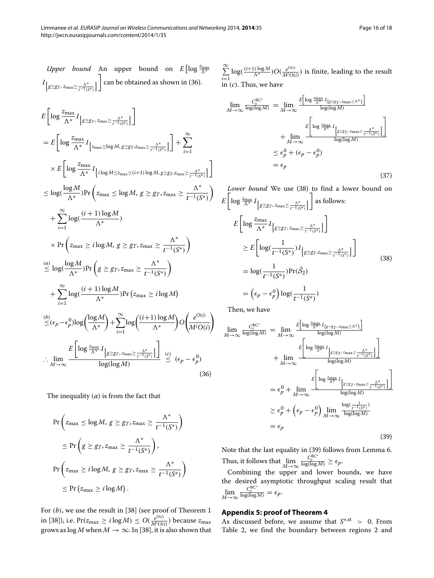*Upper bound* An upper bound on  $E\left[\log \frac{z_{\text{max}}}{\Lambda^*}\right]$ *1* $\left\{ g \geq g_T, z_{\max} \geq \frac{\Lambda^*}{t^{-1}(S^*)} \right\}$ can be obtained as shown in [\(36\)](#page-15-1).

$$
E\left[\log \frac{z_{\max}}{\Lambda^*} I_{\left\{g \geq g_T, z_{\max} \geq \frac{\Lambda^*}{t^{-1}(S^*)}\right\}}\right]
$$
\n
$$
= E\left[\log \frac{z_{\max}}{\Lambda^*} I_{\left\{z_{\max} \leq \log M, g \geq g_T, z_{\max} \geq \frac{\Lambda^*}{t^{-1}(S^*)}\right\}}\right] + \sum_{i=1}^{\infty}
$$
\n
$$
\times E\left[\log \frac{z_{\max}}{\Lambda^*} I_{\left\{i \log M \leq z_{\max} \leq (i+1) \log M, g \geq g_T, z_{\max} \geq \frac{\Lambda^*}{t^{-1}(S^*)}\right\}}\right]
$$
\n
$$
\leq \log(\frac{\log M}{\Lambda^*}) \Pr\left(z_{\max} \leq \log M, g \geq g_T, z_{\max} \geq \frac{\Lambda^*}{t^{-1}(S^*)}\right)
$$
\n
$$
+ \sum_{i=1}^{\infty} \log(\frac{(i+1) \log M}{\Lambda^*})
$$
\n
$$
\times \Pr\left(z_{\max} \geq i \log M, g \geq g_T, z_{\max} \geq \frac{\Lambda^*}{t^{-1}(S^*)}\right)
$$
\n
$$
\leq \log(\frac{\log M}{\Lambda^*}) \Pr\left(g \geq g_T, z_{\max} \geq \frac{\Lambda^*}{t^{-1}(S^*)}\right)
$$
\n
$$
+ \sum_{i=1}^{\infty} \log(\frac{(i+1) \log M}{\Lambda^*}) \Pr\left(z_{\max} \geq i \log M\right)
$$
\n
$$
\leq (\epsilon_p - \epsilon_p^0) \log \left(\frac{\log M}{\Lambda^*}\right) + \sum_{i=1}^{\infty} \log \left(\frac{(i+1) \log M}{\Lambda^*}\right) O\left(\frac{e^{O(i)}}{M^i O(i)}\right)
$$
\n
$$
\therefore \lim_{M \to \infty} \frac{E\left[\log \frac{z_{\max}}{\Lambda^*} I_{\left\{g \geq g_T, z_{\max} \geq \frac{\Lambda^*}{t^{-1}(S^*)}\right\}}\right]}{\log(\log M)} \leq (\epsilon_p - \epsilon_p^0)
$$
\n(36)

The inequality *(a)* is from the fact that

$$
\Pr\left(z_{\max} \le \log M, g \ge g_T, z_{\max} \ge \frac{\Lambda^*}{t^{-1}(S^*)}\right)
$$
  

$$
\le \Pr\left(g \ge g_T, z_{\max} \ge \frac{\Lambda^*}{t^{-1}(S^*)}\right),
$$
  

$$
\Pr\left(z_{\max} \ge i \log M, g \ge g_T, z_{\max} \ge \frac{\Lambda^*}{t^{-1}(S^*)}\right)
$$
  

$$
\le \Pr\left(z_{\max} \ge i \log M\right).
$$

For *(b)*, we use the result in [\[38\]](#page-17-35) (see proof of Theorem [1](#page-5-1)  $\inf (38)$ , i.e.  $\Pr(z_{\text{max}} \geq i \log M) \leq O(\frac{e^{O(i)}}{M^i O(i)})$  because  $z_{\text{max}}$ grows as  $\log M$  when  $M \to \infty$ . In [\[38\]](#page-17-35), it is also shown that <span id="page-15-1"></span> $\sum^{\infty}$ *i*=1  $\log(\frac{(i+1)\log M}{\Lambda^*})O(\frac{e^{O(i)}}{M^iO(i)})$  is finite, leading to the result in *(c)*. Thus, we have

$$
\lim_{M \to \infty} \frac{C_s^{\text{BC}^*}}{\log(\log M)} = \lim_{M \to \infty} \frac{E\left[\log \frac{z_{\text{max}}}{\Lambda^*} I_{\{g \ge g_T, z_{\text{max}} \ge \Lambda^*\}}\right]}{\log(\log M)} + \lim_{M \to \infty} \frac{E\left[\log \frac{z_{\text{max}}}{\Lambda^*} I_{\{g \ge g_T, z_{\text{max}} \ge \frac{\Lambda^*}{t-1}(\mathcal{S}^*)\}}\right]}{\log(\log M)}
$$
\n
$$
\le \epsilon_p^0 + (\epsilon_p - \epsilon_p^0)
$$
\n
$$
= \epsilon_p \tag{37}
$$

<span id="page-15-2"></span>*Lower bound* We use [\(38\)](#page-15-2) to find a lower bound on  $E\left[ \log \frac{z_{\text{max}}}{\Lambda^*} I_{\left\{ g \geq g_T, \, z_{\text{max}} \geq \frac{\Lambda^*}{t^{-1}(S^*)} \right\} } \right]$  as follows:  $E\left[\log \frac{z_{\text{max}}}{\Lambda^*} 1_{\left\{g \geq gr \text{, } z_{\text{max}} \geq \frac{\Lambda^*}{t^{-1}(\mathcal{S}^*)}\right\}}\right]$ 1  $\geq E\left[\log(\frac{1}{t-1}\right)]$ *t*<sup>−1</sup>(*S*\*)</sub><sup>*1*</sup> $\left\{ g \geq g_T, z_{\text{max}} \geq \frac{\Lambda^*}{t^{-1}(S^*)} \right\}$ 1  $=$  log( $\frac{1}{t^{-1}$ (  $\frac{1}{t^{-1}(S^*)}$ )Pr $(S_2)$  $=\left(\epsilon_p-\epsilon_p^0\right)\log(\frac{1}{\epsilon-1}$  $\frac{1}{t^{-1}(S^*)}$ (38)

<span id="page-15-3"></span>Then, we have

$$
\lim_{M \to \infty} \frac{C_s^{\text{BC}}}{\log(\log M)} = \lim_{M \to \infty} \frac{E\left[\log \frac{x_{\text{max}}}{\Lambda^*} I_{\{g < g_T, z_{\text{max}} \ge \Lambda^*\}}\right]}{\log(\log M)} + \lim_{M \to \infty} \frac{E\left[\log \frac{x_{\text{max}}}{\Lambda^*} I_{\{g \ge g_T, z_{\text{max}} \ge \frac{\Lambda^*}{t-1}(\mathcal{S}^*)\}}\right]}{\log(\log M)} \right]
$$
\n
$$
= \epsilon_p^0 + \lim_{M \to \infty} \frac{E\left[\log \frac{x_{\text{max}}}{\Lambda^*} I_{\{g \ge g_T, z_{\text{max}} \ge \frac{\Lambda^*}{t-1}(\mathcal{S}^*)\}}\right]}{\log(\log M)}
$$
\n
$$
\ge \epsilon_p^0 + \left(\epsilon_p - \epsilon_p^0\right) \lim_{M \to \infty} \frac{\log(\frac{1}{t-1(\mathcal{S}^*)})}{\log(\log M)}
$$
\n
$$
= \epsilon_p \tag{39}
$$

Note that the last equality in [\(39\)](#page-15-3) follows from Lemma [6.](#page-14-1) Thus, it follows that  $\lim_{M\to\infty}$  $\frac{C_S^{\text{BC*}}}{\log(\log M)} \ge \epsilon_p.$ 

Combining the upper and lower bounds, we have the desired asymptotic throughput scaling result that lim *M*→∞  $\frac{C_s^{\text{BC}*}}{\log(\log M)} = \epsilon_p.$ 

#### <span id="page-15-0"></span>**Appendix 5: proof of Theorem [4](#page-5-1)**

As discussed before, we assume that *S*∗,st *>* 0. From Table [2,](#page-7-3) we find the boundary between regions 2 and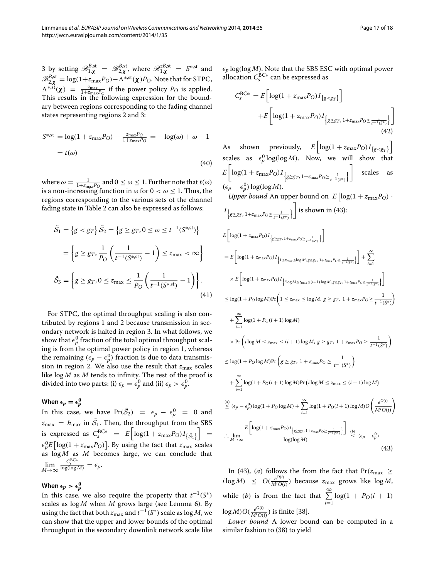3 by setting  $\mathscr{B}_{1,\chi}^{B,\text{st}} = \mathscr{B}_{2,\chi}^{B,\text{st}}$ , where  $\mathscr{B}_{1,\chi}^{zB,\text{st}} = S^{*,\text{st}}$  and  $\mathscr{B}_{2,\boldsymbol{\chi}}^{\boldsymbol{B},\boldsymbol{\text{st}}} = \log(1+z_{\text{max}}P_O) - \Lambda^{*,\text{st}}(\boldsymbol{\chi})P_O.$  Note that for STPC,  $\Lambda^{*,st}(\chi) = \frac{z_{\text{max}}}{1+z_{\text{max}}P_Q}$  if the power policy  $P_Q$  is applied. This results in the following expression for the boundary between regions corresponding to the fading channel states representing regions 2 and 3:

$$
S^{*,st} = \log(1 + z_{\max} P_O) - \frac{z_{\max} P_O}{1 + z_{\max} P_O} = -\log(\omega) + \omega - 1
$$
  
=  $t(\omega)$  (40)

where  $\omega = \frac{1}{1 + z_{\text{max}} P_O}$  and  $0 \le \omega \le 1$ . Further note that  $t(\omega)$ is a non-increasing function in  $\omega$  for  $0 < \omega \leq 1$ . Thus, the regions corresponding to the various sets of the channel fading state in Table [2](#page-7-3) can also be expressed as follows:

$$
\tilde{S}_1 = \left\{ g < g_T \right\} \tilde{S}_2 = \left\{ g \geq g_T, 0 \leq \omega \leq t^{-1} \left( S^{*,st} \right) \right\}
$$
\n
$$
= \left\{ g \geq g_T, \frac{1}{P_O} \left( \frac{1}{t^{-1} \left( S^{*,st} \right)} - 1 \right) \leq z_{\text{max}} < \infty \right\}
$$
\n
$$
\tilde{S}_3 = \left\{ g \geq g_T, 0 \leq z_{\text{max}} \leq \frac{1}{P_O} \left( \frac{1}{t^{-1} \left( S^{*,st} \right)} - 1 \right) \right\}. \tag{41}
$$

For STPC, the optimal throughput scaling is also contributed by regions 1 and 2 because transmission in secondary network is halted in region 3. In what follows, we show that  $\epsilon_p^0$  fraction of the total optimal throughput scaling is from the optimal power policy in region 1, whereas the remaining  $(\epsilon_p - \epsilon_p^0)$  fraction is due to data transmission in region 2. We also use the result that *z*max scales like log *M* as *M* tends to infinity. The rest of the proof is divided into two parts: (i)  $\epsilon_p = \epsilon_p^0$  and (ii)  $\epsilon_p > \epsilon_p^0$ .

# When  $\epsilon_p = \epsilon_p^0$

In this case, we have  $Pr(\tilde{S}_2) = \epsilon_p - \epsilon_p^0 = 0$  and  $z_{\text{max}} = h_{\text{max}}$  in  $S_1$ . Then, the throughput from the SBS is expressed as  $C_s^{BC*} = E\left[\log(1 + z_{\text{max}}P_O)I_{\{\tilde{S}_1\}}\right] =$  $\epsilon_p^0 E \left[ \log(1 + z_{\text{max}} P_O) \right]$ . By using the fact that  $z_{\text{max}}$  scales  $_{p}^{0}E$ [log(1 + *z*<sub>max</sub>*P*<sub>O</sub>) as log *M* as *M* becomes large, we can conclude that lim *M*→∞  $\frac{C_s^{\text{BC}*}}{\log(\log M)} = \epsilon_p.$ 

# When  $\epsilon_p > \epsilon_p^0$

In this case, we also require the property that  $t^{-1}(S^*)$ scales as log *M* when *M* grows large (see Lemma [6\)](#page-14-1). By using the fact that both  $z_{\rm max}$  and  $t^{-1}(S^*)$  scale as  $\log M$ , we can show that the upper and lower bounds of the optimal throughput in the secondary downlink network scale like

 $\epsilon_p$  log(log *M*). Note that the SBS ESC with optimal power  $\frac{p_1}{p_2}$  allocation  $C_5^{BC*}$  can be expressed as

$$
C_{s}^{\text{BC}*} = E \left[ \log(1 + z_{\text{max}} P_O) I_{\{g < g_T\}} \right]
$$
\n
$$
+ E \left[ \log(1 + z_{\text{max}} P_O) I_{\{g \geq g_T, 1 + z_{\text{max}} P_O \geq \frac{1}{t^{-1}(S^*)} \}} \right]
$$
\n(42)

As shown previously,  $E\left[\log(1 + z_{\text{max}}P_O)I_{\{g < g_T\}}\right]$ scales as  $\epsilon_p^0 \log(\log M)$ . Now, we will show that  $E\left[\log(1 + z_{\max}P_O)I_{\left\{g \geq g_T, 1+z_{\max}P_O \geq \frac{1}{t^{-1}(S^*)}\right\}}\right]$  scales as  $(\epsilon_p - \epsilon_p^0) \log(\log M)$ .

*Upper bound* An upper bound on  $E\left[log(1 + z_{max}P_O) \right]$  $\big]$  is shown in [\(43\)](#page-16-0):

<span id="page-16-0"></span>
$$
I_{\left\{g \geq g_{T}, 1 + z_{\max}P_{O} \geq \frac{1}{t^{-1}(S^{*})}\right\}} \text{ is shown in (43):}
$$
\n
$$
E\left[\log(1 + z_{\max}P_{O})I_{\left\{g \geq g_{T}, 1 + z_{\max}P_{O} \geq \frac{1}{t^{-1}(S^{*})}\right\}}\right]
$$
\n
$$
= E\left[\log(1 + z_{\max}P_{O})I_{\left\{1 \leq z_{\max} \leq \log M, g \geq g_{T}, 1 + z_{\max}P_{O} \geq \frac{1}{t^{-1}(S^{*})}\right\}}\right] + \sum_{i=1}^{\infty}
$$
\n
$$
\times E\left[\log(1 + z_{\max}P_{O})I_{\left\{i \log M \leq z_{\max} \leq (i+1) \log M, g \geq g_{T}, 1 + z_{\max}P_{O} \geq \frac{1}{t^{-1}(S^{*})}\right\}}\right]
$$
\n
$$
\leq \log(1 + P_{O}\log M) \Pr\left(1 \leq z_{\max} \leq \log M, g \geq g_{T}, 1 + z_{\max}P_{O} \geq \frac{1}{t^{-1}(S^{*})}\right)
$$
\n
$$
+ \sum_{i=1}^{\infty} \log(1 + P_{O}(i+1) \log M)
$$
\n
$$
\times \Pr\left(i \log M \leq z_{\max} \leq (i+1) \log M, g \geq g_{T}, 1 + z_{\max}P_{O} \geq \frac{1}{t^{-1}(S^{*})}\right)
$$
\n
$$
\leq \log(1 + P_{O}\log M) \Pr\left(g \geq g_{T}, 1 + z_{\max}P_{O} \geq \frac{1}{t^{-1}(S^{*})}\right)
$$
\n
$$
\xrightarrow{\infty} \log(1 + P_{O}(i+1) \log M) \Pr\left(i \log M \leq z_{\max} \leq (i+1) \log M\right)
$$
\n
$$
\leq (\epsilon_{p} - \epsilon_{p}^{O}) \log(1 + P_{O}\log M) + \sum_{i=1}^{\infty} \log(1 + P_{O}(i+1) \log M) O\left(\frac{e^{O(i)}}{M^{i}O(i)}\right)
$$
\n $$ 

$$
\therefore \lim_{M \to \infty} \frac{E\left[\log(1 + z_{\max} P_O) I_{\left\{g \geq g_T, 1 + z_{\max} P_O \geq \frac{1}{t^{-1}(S^*)}\right\}}\right]}{\log(\log M)} \stackrel{(b)}{\leq} (\epsilon_p - \epsilon_p^0) \tag{43}
$$

In [\(43\)](#page-16-0), *(a)* follows the from the fact that  $Pr(z_{max} \geq$  $i \log M$ *)* ≤  $O(\frac{e^{O(i)}}{M^i O(i)})$  because  $z_{\text{max}}$  grows like  $\log M$ , while *(b)* is from the fact that  $\sum^{\infty}$  $\sum_{i=1}$  log(1 + *P*<sub>O</sub>(*i* + 1)  $\log M/O(\frac{e^{O(i)}}{M^iO(i)})$  is finite [\[38\]](#page-17-35).

*Lower bound* A lower bound can be computed in a similar fashion to [\(38\)](#page-15-2) to yield